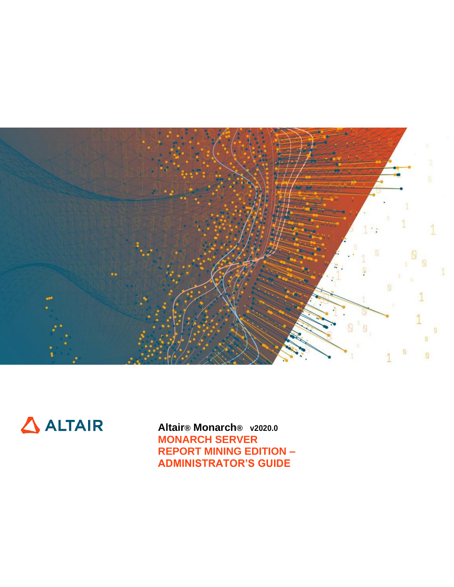



**Altair® Monarch® v2020.0 MONARCH SERVER REPORT MINING EDITION – ADMINISTRATOR'S GUIDE**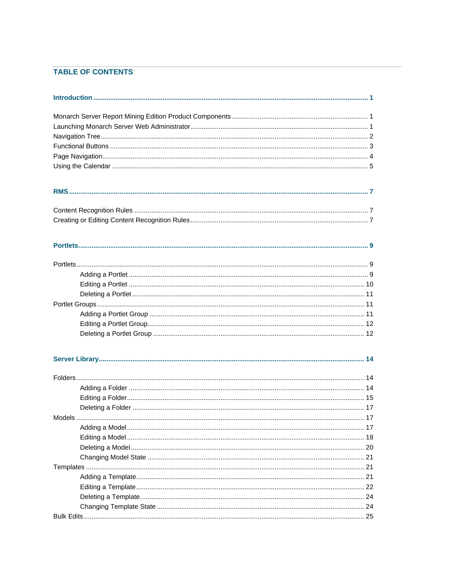# **TABLE OF CONTENTS**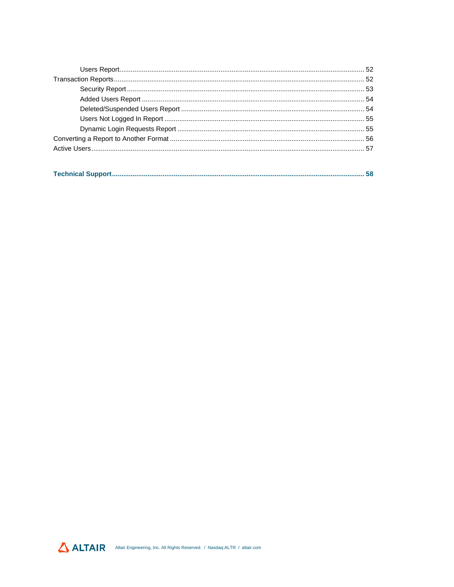|--|--|--|

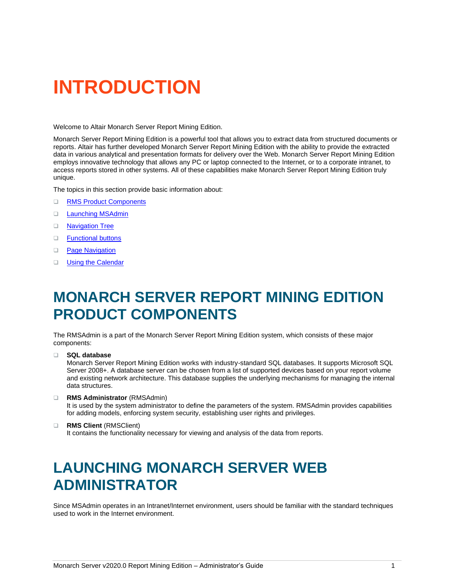# <span id="page-4-0"></span>**INTRODUCTION**

Welcome to Altair Monarch Server Report Mining Edition.

Monarch Server Report Mining Edition is a powerful tool that allows you to extract data from structured documents or reports. Altair has further developed Monarch Server Report Mining Edition with the ability to provide the extracted data in various analytical and presentation formats for delivery over the Web. Monarch Server Report Mining Edition employs innovative technology that allows any PC or laptop connected to the Internet, or to a corporate intranet, to access reports stored in other systems. All of these capabilities make Monarch Server Report Mining Edition truly unique.

The topics in this section provide basic information about:

- ❑ [RMS Product Components](#page-4-1)
- □ [Launching MSAdmin](#page-4-2)
- ❑ [Navigation Tree](#page-5-0)
- ❑ [Functional buttons](#page-6-0)
- □ [Page Navigation](#page-7-0)
- <span id="page-4-1"></span>□ [Using the Calendar](#page-8-0)

# **MONARCH SERVER REPORT MINING EDITION PRODUCT COMPONENTS**

The RMSAdmin is a part of the Monarch Server Report Mining Edition system, which consists of these major components:

- ❑ **SQL database** Monarch Server Report Mining Edition works with industry-standard SQL databases. It supports Microsoft SQL Server 2008+. A database server can be chosen from a list of supported devices based on your report volume and existing network architecture. This database supplies the underlying mechanisms for managing the internal data structures.
- ❑ **RMS Administrator** (RMSAdmin)

It is used by the system administrator to define the parameters of the system. RMSAdmin provides capabilities for adding models, enforcing system security, establishing user rights and privileges.

#### ❑ **RMS Client** (RMSClient)

It contains the functionality necessary for viewing and analysis of the data from reports.

# <span id="page-4-2"></span>**LAUNCHING MONARCH SERVER WEB ADMINISTRATOR**

Since MSAdmin operates in an Intranet/Internet environment, users should be familiar with the standard techniques used to work in the Internet environment.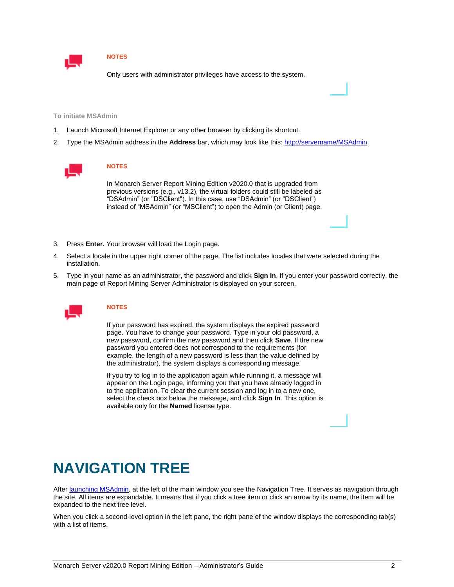

Only users with administrator privileges have access to the system.

**To initiate MSAdmin**

- 1. Launch Microsoft Internet Explorer or any other browser by clicking its shortcut.
- 2. Type the MSAdmin address in the **Address** bar, which may look like this[: http://servername/MSAdmin.](http://servername/MSAdmin)



#### **NOTES**

In Monarch Server Report Mining Edition v2020.0 that is upgraded from previous versions (e.g., v13.2), the virtual folders could still be labeled as "DSAdmin" (or "DSClient"). In this case, use "DSAdmin" (or "DSClient") instead of "MSAdmin" (or "MSClient") to open the Admin (or Client) page.

- 3. Press **Enter**. Your browser will load the Login page.
- 4. Select a locale in the upper right corner of the page. The list includes locales that were selected during the installation.
- 5. Type in your name as an administrator, the password and click **Sign In**. If you enter your password correctly, the main page of Report Mining Server Administrator is displayed on your screen.



### **NOTES**

If your password has expired, the system displays the expired password page. You have to change your password. Type in your old password, a new password, confirm the new password and then click **Save**. If the new password you entered does not correspond to the requirements (for example, the length of a new password is less than the value defined by the administrator), the system displays a corresponding message.

If you try to log in to the application again while running it, a message will appear on the Login page, informing you that you have already logged in to the application. To clear the current session and log in to a new one, select the check box below the message, and click **Sign In**. This option is available only for the **Named** license type.

# <span id="page-5-0"></span>**NAVIGATION TREE**

Afte[r launching MSAdmin,](#page-4-2) at the left of the main window you see the Navigation Tree. It serves as navigation through the site. All items are expandable. It means that if you click a tree item or click an arrow by its name, the item will be expanded to the next tree level.

When you click a second-level option in the left pane, the right pane of the window displays the corresponding tab(s) with a list of items.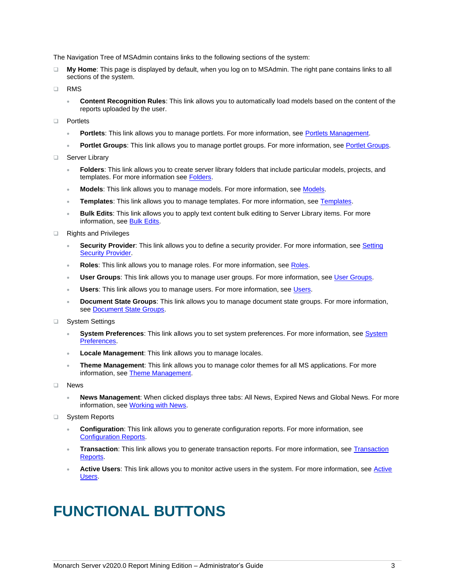The Navigation Tree of MSAdmin contains links to the following sections of the system:

- ❑ **My Home**: This page is displayed by default, when you log on to MSAdmin. The right pane contains links to all sections of the system.
- ❑ RMS
	- **Content Recognition Rules**: This link allows you to automatically load models based on the content of the reports uploaded by the user.
- ❑ Portlets
	- **Portlets**: This link allows you to manage portlets. For more information, se[e Portlets Management.](#page-12-3)
	- Portlet Groups: This link allows you to manage portlet groups. For more information, se[e Portlet Groups.](#page-14-3)
- ❑ Server Library
	- **Folders**: This link allows you to create server library folders that include particular models, projects, and templates. For more information see [Folders.](#page-17-3)
	- **Models**: This link allows you to manage models. For more information, see [Models.](#page-20-3)
	- **Templates**: This link allows you to manage templates. For more information, see [Templates.](#page-24-3)
	- **Bulk Edits**: This link allows you to apply text content bulk editing to Server Library items. For more information, se[e Bulk Edits.](#page-28-0)
- ❑ Rights and Privileges
	- **Security Provider**: This link allows you to define a security provider. For more information, se[e Setting](#page-30-0)  **[Security Provider.](#page-30-0)**
	- **Roles:** This link allows you to manage roles. For more information, see [Roles.](#page-31-2)
	- **User Groups**: This link allows you to manage user groups. For more information, se[e User Groups.](#page-33-3)
	- **Users:** This link allows you to manage users. For more information, se[e Users.](#page-36-2)
	- **Document State Groups**: This link allows you to manage document state groups. For more information, see Document State Groups.
- ❑ System Settings
	- **System Preferences**: This link allows you to set system preferences. For more information, se[e System](#page-39-2)  [Preferences.](#page-39-2)
	- **Locale Management**: This link allows you to manage locales.
	- **Theme Management**: This link allows you to manage color themes for all MS applications. For more information, se[e Theme Management.](#page-48-0)
- ❑ News
	- **News Management**: When clicked displays three tabs: All News, Expired News and Global News. For more information, se[e Working with News.](#page-49-2)
- ❑ System Reports
	- **Configuration**: This link allows you to generate configuration reports. For more information, see [Configuration Reports.](#page-53-3)
	- **Transaction**: This link allows you to generate transaction reports. For more information, see [Transaction](#page-55-2)  [Reports.](#page-55-2)
	- Active Users: This link allows you to monitor active users in the system. For more information, see Active [Users.](#page-60-0)

# <span id="page-6-0"></span>**FUNCTIONAL BUTTONS**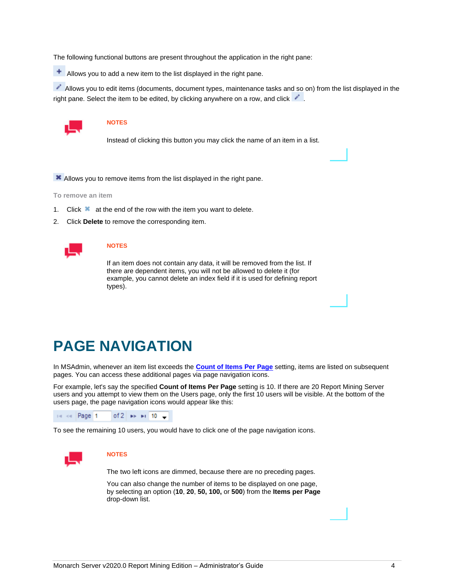The following functional buttons are present throughout the application in the right pane:

Allows you to add a new item to the list displayed in the right pane.

Allows you to edit items (documents, document types, maintenance tasks and so on) from the list displayed in the right pane. Select the item to be edited, by clicking anywhere on a row, and click .



### **NOTES**

Instead of clicking this button you may click the name of an item in a list.

**X** Allows you to remove items from the list displayed in the right pane.

**To remove an item**

- 1. Click  $\blacktriangleright$  at the end of the row with the item you want to delete.
- 2. Click **Delete** to remove the corresponding item.



### **NOTES**

If an item does not contain any data, it will be removed from the list. If there are dependent items, you will not be allowed to delete it (for example, you cannot delete an index field if it is used for defining report types).

# <span id="page-7-0"></span>**PAGE NAVIGATION**

In MSAdmin, whenever an item list exceeds the **[Count of Items Per Page](#page-45-0)** setting, items are listed on subsequent pages. You can access these additional pages via page navigation icons.

For example, let's say the specified **Count of Items Per Page** setting is 10. If there are 20 Report Mining Server users and you attempt to view them on the Users page, only the first 10 users will be visible. At the bottom of the users page, the page navigation icons would appear like this:



To see the remaining 10 users, you would have to click one of the page navigation icons.



#### **NOTES**

The two left icons are dimmed, because there are no preceding pages.

You can also change the number of items to be displayed on one page, by selecting an option (**10**, **20**, **50, 100,** or **500**) from the **Items per Page** drop-down list.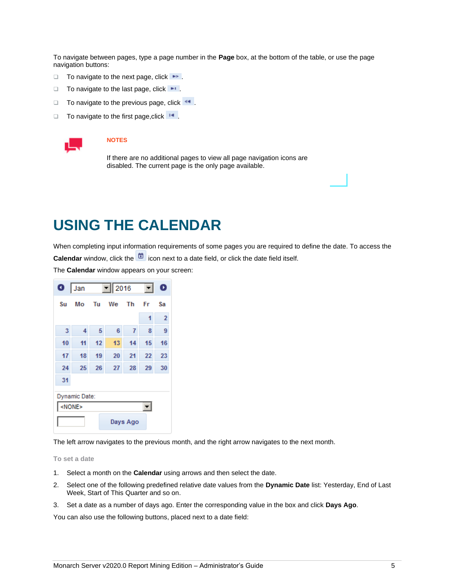To navigate between pages, type a page number in the **Page** box, at the bottom of the table, or use the page navigation buttons:

- □ To navigate to the next page, click **.**
- □ To navigate to the last page, click **·**
- $\Box$  To navigate to the previous page, click  $\leftarrow$ .
- □ To navigate to the first page, click  $\blacksquare$



#### **NOTES**

If there are no additional pages to view all page navigation icons are disabled. The current page is the only page available.

# <span id="page-8-0"></span>**USING THE CALENDAR**

When completing input information requirements of some pages you are required to define the date. To access the **Calendar** window, click the **independent of the icon next to a date field, or click the date field itself.** 

The **Calendar** window appears on your screen:

| O  | Jan           |    | 2016<br>$\vert \cdot \vert$ |          |    | D              |
|----|---------------|----|-----------------------------|----------|----|----------------|
| Su | Mo            | Tu | We                          | Th       | Fr | Sa             |
|    |               |    |                             |          | 1  | $\overline{2}$ |
| 3  | 4             | 5  | 6                           | 7        | 8  | 9              |
| 10 | 11            | 12 | 13                          | 14       | 15 | 16             |
| 17 | 18            | 19 | 20                          | 21       | 22 | 23             |
| 24 | 25            | 26 | 27                          | 28       | 29 | 30             |
| 31 |               |    |                             |          |    |                |
|    | Dynamic Date: |    |                             |          |    |                |
|    | <none></none> |    |                             |          |    |                |
|    |               |    |                             | Days Ago |    |                |

The left arrow navigates to the previous month, and the right arrow navigates to the next month.

**To set a date**

- 1. Select a month on the **Calendar** using arrows and then select the date.
- 2. Select one of the following predefined relative date values from the **Dynamic Date** list: Yesterday, End of Last Week, Start of This Quarter and so on.
- 3. Set a date as a number of days ago. Enter the corresponding value in the box and click **Days Ago**.

You can also use the following buttons, placed next to a date field: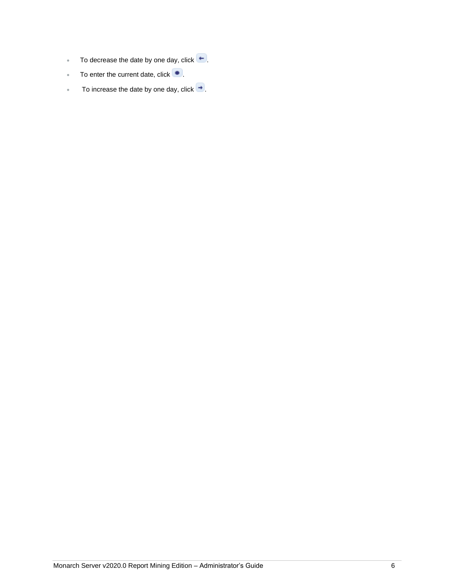- To decrease the date by one day, click  $\leftarrow$ .
- To enter the current date, click  $\bullet$ .
- To increase the date by one day, click  $\rightarrow$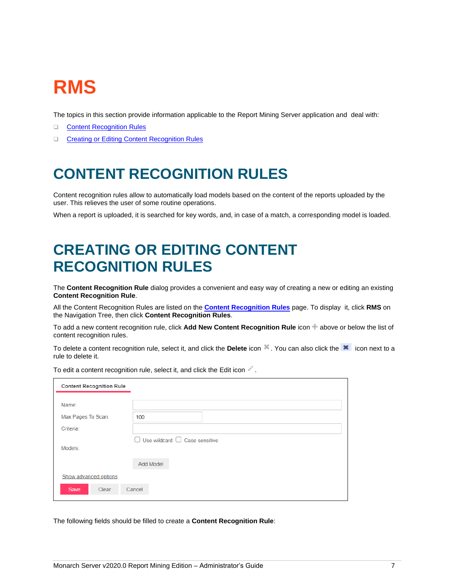# <span id="page-10-0"></span>**RMS**

The topics in this section provide information applicable to the Report Mining Server application and deal with:

- ❑ [Content Recognition Rules](#page-10-1)
- <span id="page-10-1"></span>❑ [Creating or Editing Content Recognition Rules](#page-10-2)

# **CONTENT RECOGNITION RULES**

Content recognition rules allow to automatically load models based on the content of the reports uploaded by the user. This relieves the user of some routine operations.

<span id="page-10-2"></span>When a report is uploaded, it is searched for key words, and, in case of a match, a corresponding model is loaded.

# **CREATING OR EDITING CONTENT RECOGNITION RULES**

The **Content Recognition Rule** dialog provides a convenient and easy way of creating a new or editing an existing **Content Recognition Rule**.

All the Content Recognition Rules are listed on the **[Content Recognition Rules](#page-10-1)** page. To display it, click **RMS** on the Navigation Tree, then click **Content Recognition Rules**.

To add a new content recognition rule, click **Add New Content Recognition Rule** icon above or below the list of content recognition rules.

To delete a content recognition rule, select it, and click the **Delete** icon . You can also click the **x** icon next to a rule to delete it.

| <b>Content Recognition Rule</b> |                                           |
|---------------------------------|-------------------------------------------|
| Name:                           |                                           |
| Max Pages To Scan:              | 100                                       |
| Criteria:                       |                                           |
|                                 | $\Box$ Use wildcard $\Box$ Case sensitive |
| Models:                         |                                           |
|                                 | <b>Add Model</b>                          |
| Show advanced options           |                                           |
| Save<br>Clear                   | Cancel                                    |

To edit a content recognition rule, select it, and click the Edit icon  $\ell$ .

The following fields should be filled to create a **Content Recognition Rule**: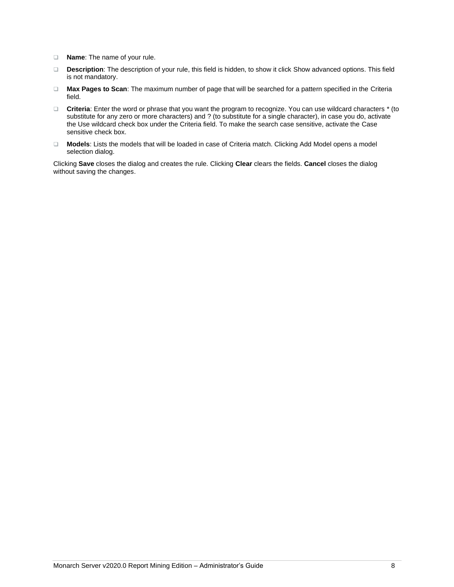- ❑ **Name**: The name of your rule.
- ❑ **Description**: The description of your rule, this field is hidden, to show it click Show advanced options. This field is not mandatory.
- ❑ **Max Pages to Scan**: The maximum number of page that will be searched for a pattern specified in the Criteria field.
- ❑ **Criteria**: Enter the word or phrase that you want the program to recognize. You can use wildcard characters \* (to substitute for any zero or more characters) and ? (to substitute for a single character), in case you do, activate the Use wildcard check box under the Criteria field. To make the search case sensitive, activate the Case sensitive check box.
- ❑ **Models**: Lists the models that will be loaded in case of Criteria match. Clicking Add Model opens a model selection dialog.

Clicking **Save** closes the dialog and creates the rule. Clicking **Clear** clears the fields. **Cancel** closes the dialog without saving the changes.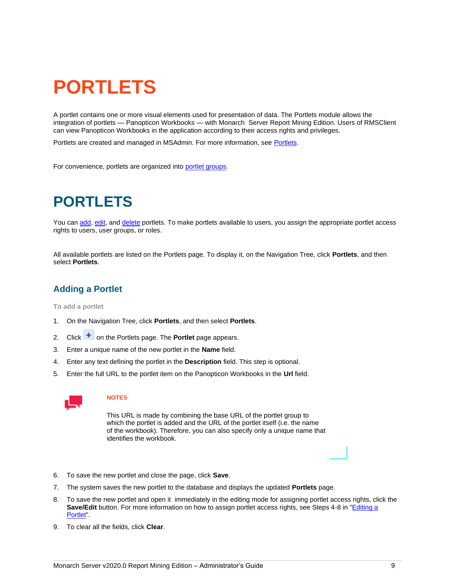# <span id="page-12-0"></span>**PORTLETS**

<span id="page-12-3"></span>A portlet contains one or more visual elements used for presentation of data. The Portlets module allows the integration of portlets — Panopticon Workbooks — with Monarch Server Report Mining Edition. Users of RMSClient can view Panopticon Workbooks in the application according to their access rights and privileges.

Portlets are created and managed in MSAdmin. For more information, see [Portlets.](#page-12-4)

<span id="page-12-1"></span>For convenience, portlets are organized into [portlet groups.](#page-14-3)

# **PORTLETS**

<span id="page-12-4"></span>You ca[n add,](#page-12-2) [edit,](#page-13-0) an[d delete](#page-14-0) portlets. To make portlets available to users, you assign the appropriate portlet access rights to users, user groups, or roles.

All available portlets are listed on the Portlets page. To display it, on the Navigation Tree, click **Portlets**, and then select **Portlets**.

# <span id="page-12-2"></span>**Adding a Portlet**

**To add a portlet**

- 1. On the Navigation Tree, click **Portlets**, and then select **Portlets**.
- 2. Click <sup>+</sup> on the Portlets page. The **Portlet** page appears.
- 3. Enter a unique name of the new portlet in the **Name** field.
- 4. Enter any text defining the portlet in the **Description** field. This step is optional.
- 5. Enter the full URL to the portlet item on the Panopticon Workbooks in the **Url** field.



#### **NOTES**

This URL is made by combining the base URL of the portlet group to which the portlet is added and the URL of the portlet itself (i.e. the name of the workbook). Therefore, you can also specify only a unique name that identifies the workbook.

- 6. To save the new portlet and close the page, click **Save**.
- 7. The system saves the new portlet to the database and displays the updated **Portlets** page.
- 8. To save the new portlet and open it immediately in the editing mode for assigning portlet access rights, click the **Save/Edit** button. For more information on how to assign portlet access rights, see Steps 4-8 in ["Editing a](#page-13-0)  [Portlet"](#page-13-0).
- 9. To clear all the fields, click **Clear**.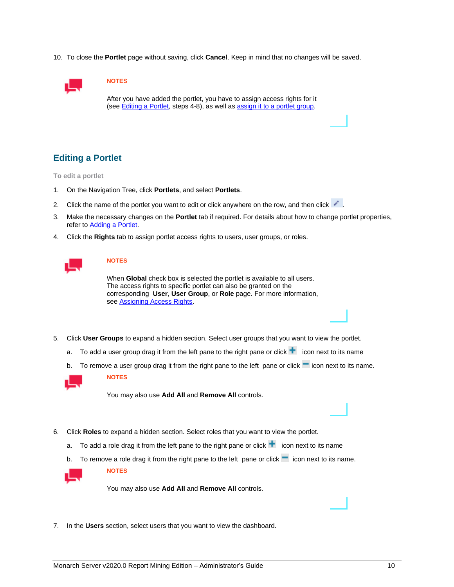10. To close the **Portlet** page without saving, click **Cancel**. Keep in mind that no changes will be saved.



## **NOTES**

After you have added the portlet, you have to assign access rights for it (see **Editing a Portlet**, steps 4-8), as well as **assign it to a portlet group**.

# <span id="page-13-0"></span>**Editing a Portlet**

**To edit a portlet**

- 1. On the Navigation Tree, click **Portlets**, and select **Portlets**.
- 2. Click the name of the portlet you want to edit or click anywhere on the row, and then click  $\cdot$ .
- 3. Make the necessary changes on the **Portlet** tab if required. For details about how to change portlet properties, refer to [Adding a Portlet.](#page-12-2)
- 4. Click the **Rights** tab to assign portlet access rights to users, user groups, or roles.

### **NOTES**

When **Global** check box is selected the portlet is available to all users. The access rights to specific portlet can also be granted on the corresponding **User**, **User Group**, or **Role** page. For more information, see [Assigning Access Rights.](#page-29-3)

- 5. Click **User Groups** to expand a hidden section. Select user groups that you want to view the portlet.
	- a. To add a user group drag it from the left pane to the right pane or click  $\pm$  icon next to its name
	- b. To remove a user group drag it from the right pane to the left pane or click  $\blacksquare$  icon next to its name.



**NOTES**

You may also use **Add All** and **Remove All** controls.

- 6. Click **Roles** to expand a hidden section. Select roles that you want to view the portlet.
	- a. To add a role drag it from the left pane to the right pane or click  $\pm$  icon next to its name
	- b. To remove a role drag it from the right pane to the left pane or click  $\blacksquare$  icon next to its name.



**NOTES**

You may also use **Add All** and **Remove All** controls.

7. In the **Users** section, select users that you want to view the dashboard.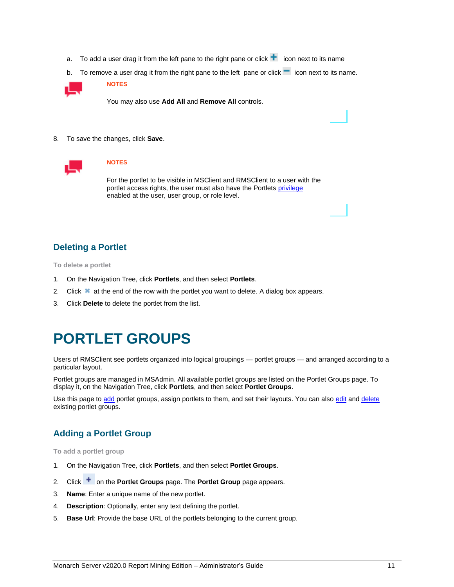- a. To add a user drag it from the left pane to the right pane or click  $\pm$  icon next to its name
- b. To remove a user drag it from the right pane to the left pane or click  $\blacksquare$  icon next to its name.



You may also use **Add All** and **Remove All** controls.

8. To save the changes, click **Save**.



#### **NOTES**

For the portlet to be visible in MSClient and RMSClient to a user with the portlet access rights, the user must also have the Portlets [privilege](#page-29-4) enabled at the user, user group, or role level.

# <span id="page-14-0"></span>**Deleting a Portlet**

**To delete a portlet**

- 1. On the Navigation Tree, click **Portlets**, and then select **Portlets**.
- 2. Click  $\blacktriangleright$  at the end of the row with the portlet you want to delete. A dialog box appears.
- <span id="page-14-1"></span>3. Click **Delete** to delete the portlet from the list.

# **PORTLET GROUPS**

<span id="page-14-3"></span>Users of RMSClient see portlets organized into logical groupings — portlet groups — and arranged according to a particular layout.

Portlet groups are managed in MSAdmin. All available portlet groups are listed on the Portlet Groups page. To display it, on the Navigation Tree, click **Portlets**, and then select **Portlet Groups**.

Use this page t[o add](#page-14-2) portlet groups, assign portlets to them, and set their layouts. You can als[o edit](#page-15-0) and [delete](#page-15-1) existing portlet groups.

# <span id="page-14-2"></span>**Adding a Portlet Group**

**To add a portlet group**

- 1. On the Navigation Tree, click **Portlets**, and then select **Portlet Groups**.
- 2. Click <sup>+</sup> on the **Portlet Groups** page. The **Portlet Group** page appears.
- 3. **Name**: Enter a unique name of the new portlet.
- 4. **Description**: Optionally, enter any text defining the portlet.
- 5. **Base Url**: Provide the base URL of the portlets belonging to the current group.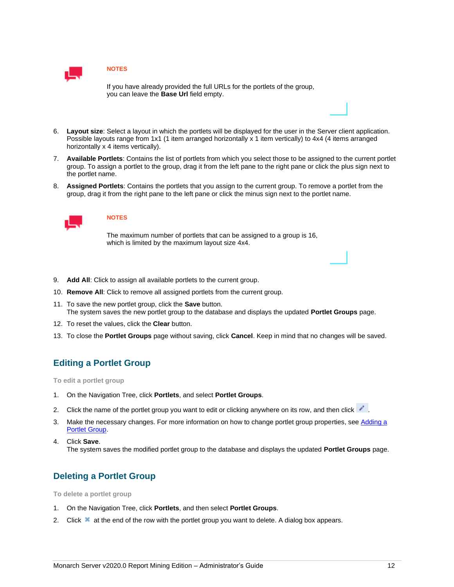

If you have already provided the full URLs for the portlets of the group, you can leave the **Base Url** field empty.

- 6. **Layout size**: Select a layout in which the portlets will be displayed for the user in the Server client application. Possible layouts range from 1x1 (1 item arranged horizontally x 1 item vertically) to 4x4 (4 items arranged horizontally x 4 items vertically).
- 7. **Available Portlets**: Contains the list of portlets from which you select those to be assigned to the current portlet group. To assign a portlet to the group, drag it from the left pane to the right pane or click the plus sign next to the portlet name.
- 8. **Assigned Portlets**: Contains the portlets that you assign to the current group. To remove a portlet from the group, drag it from the right pane to the left pane or click the minus sign next to the portlet name.



### **NOTES**

The maximum number of portlets that can be assigned to a group is 16, which is limited by the maximum layout size 4x4.

- 9. **Add All**: Click to assign all available portlets to the current group.
- 10. **Remove All**: Click to remove all assigned portlets from the current group.
- 11. To save the new portlet group, click the **Save** button. The system saves the new portlet group to the database and displays the updated **Portlet Groups** page.
- 12. To reset the values, click the **Clear** button.
- <span id="page-15-0"></span>13. To close the **Portlet Groups** page without saving, click **Cancel**. Keep in mind that no changes will be saved.

## **Editing a Portlet Group**

**To edit a portlet group**

- 1. On the Navigation Tree, click **Portlets**, and select **Portlet Groups**.
- 2. Click the name of the portlet group you want to edit or clicking anywhere on its row, and then click .
- 3. Make the necessary changes. For more information on how to change portlet group properties, se[e Adding a](#page-14-2)  [Portlet Group.](#page-14-2)
- 4. Click **Save**. The system saves the modified portlet group to the database and displays the updated **Portlet Groups** page.

## <span id="page-15-1"></span>**Deleting a Portlet Group**

**To delete a portlet group**

- 1. On the Navigation Tree, click **Portlets**, and then select **Portlet Groups**.
- 2. Click  $\blacktriangleright$  at the end of the row with the portlet group you want to delete. A dialog box appears.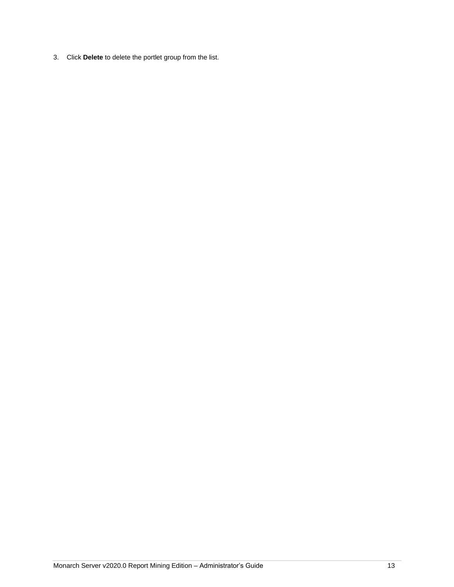3. Click **Delete** to delete the portlet group from the list.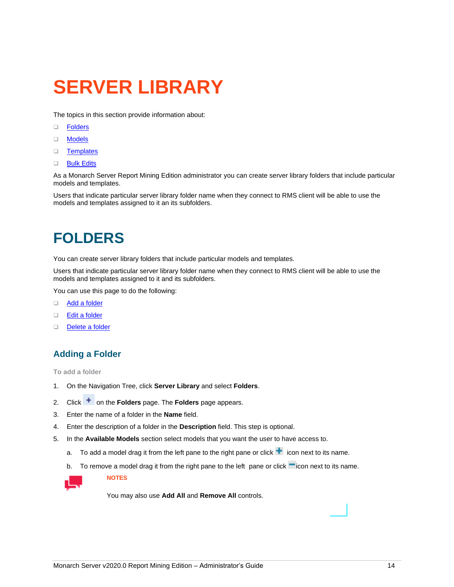# <span id="page-17-0"></span>**SERVER LIBRARY**

The topics in this section provide information about:

- ❑ [Folders](#page-17-3)
- ❑ [Models](#page-20-3)
- ❑ [Templates](#page-24-3)
- ❑ [Bulk Edits](#page-28-0)

As a Monarch Server Report Mining Edition administrator you can create server library folders that include particular models and templates.

Users that indicate particular server library folder name when they connect to RMS client will be able to use the models and templates assigned to it an its subfolders.

# <span id="page-17-1"></span>**FOLDERS**

<span id="page-17-3"></span>You can create server library folders that include particular models and templates.

Users that indicate particular server library folder name when they connect to RMS client will be able to use the models and templates assigned to it and its subfolders.

You can use this page to do the following:

- ❑ [Add a folder](#page-17-2)
- ❑ [Edit a folder](#page-18-0)
- <span id="page-17-2"></span>❑ [Delete a folder](#page-20-0)

# **Adding a Folder**

**To add a folder**

- 1. On the Navigation Tree, click **Server Library** and select **Folders**.
- 2. Click <sup>+</sup> on the **Folders** page. The **Folders** page appears.
- 3. Enter the name of a folder in the **Name** field.
- 4. Enter the description of a folder in the **Description** field. This step is optional.
- 5. In the **Available Models** section select models that you want the user to have access to.
	- a. To add a model drag it from the left pane to the right pane or click  $\pm$  icon next to its name.
	- b. To remove a model drag it from the right pane to the left pane or click  $\blacksquare$  icon next to its name.



**NOTES**

You may also use **Add All** and **Remove All** controls.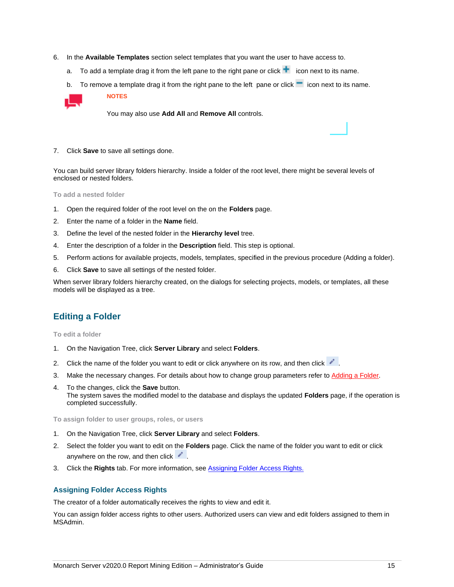- 6. In the **Available Templates** section select templates that you want the user to have access to.
	- a. To add a template drag it from the left pane to the right pane or click  $\blacksquare$  icon next to its name.
	- b. To remove a template drag it from the right pane to the left pane or click  $\blacksquare$  icon next to its name.



You may also use **Add All** and **Remove All** controls.

7. Click **Save** to save all settings done.

**NOTES**

You can build server library folders hierarchy. Inside a folder of the root level, there might be several levels of enclosed or nested folders.

**To add a nested folder**

- 1. Open the required folder of the root level on the on the **Folders** page.
- 2. Enter the name of a folder in the **Name** field.
- 3. Define the level of the nested folder in the **Hierarchy level** tree.
- 4. Enter the description of a folder in the **Description** field. This step is optional.
- 5. Perform actions for available projects, models, templates, specified in the previous procedure (Adding a folder).
- 6. Click **Save** to save all settings of the nested folder.

When server library folders hierarchy created, on the dialogs for selecting projects, models, or templates, all these models will be displayed as a tree.

# <span id="page-18-0"></span>**Editing a Folder**

**To edit a folder**

- 1. On the Navigation Tree, click **Server Library** and select **Folders**.
- 2. Click the name of the folder you want to edit or click anywhere on its row, and then click  $\cdot$ .
- 3. Make the necessary changes. For details about how to change group parameters refer to [Adding a Folder.](#page-17-2)
- 4. To the changes, click the **Save** button. The system saves the modified model to the database and displays the updated **Folders** page, if the operation is completed successfully.

**To assign folder to user groups, roles, or users** 

- 1. On the Navigation Tree, click **Server Library** and select **Folders**.
- 2. Select the folder you want to edit on the **Folders** page. Click the name of the folder you want to edit or click anywhere on the row, and then click  $\ddot{\phantom{a}}$ .
- 3. Click the **Rights** tab. For more information, se[e Assigning Folder Access Rights.](#page-18-1)

#### <span id="page-18-1"></span>**Assigning Folder Access Rights**

The creator of a folder automatically receives the rights to view and edit it.

You can assign folder access rights to other users. Authorized users can view and edit folders assigned to them in MSAdmin.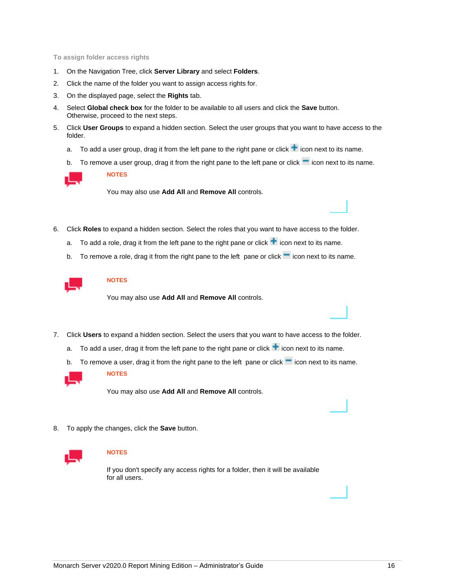**To assign folder access rights** 

- 1. On the Navigation Tree, click **Server Library** and select **Folders**.
- 2. Click the name of the folder you want to assign access rights for.
- 3. On the displayed page, select the **Rights** tab.
- 4. Select **Global check box** for the folder to be available to all users and click the **Save** button. Otherwise, proceed to the next steps.
- 5. Click **User Groups** to expand a hidden section. Select the user groups that you want to have access to the folder.
	- a. To add a user group, drag it from the left pane to the right pane or click  $\pm$  icon next to its name.
	- b. To remove a user group, drag it from the right pane to the left pane or click  $\blacksquare$  icon next to its name.



**NOTES**

You may also use **Add All** and **Remove All** controls.

- 6. Click **Roles** to expand a hidden section. Select the roles that you want to have access to the folder.
	- a. To add a role, drag it from the left pane to the right pane or click  $\pm$  icon next to its name.
	- b. To remove a role, drag it from the right pane to the left pane or click  $\blacksquare$  icon next to its name.



### **NOTES**

You may also use **Add All** and **Remove All** controls.

- 7. Click **Users** to expand a hidden section. Select the users that you want to have access to the folder.
	- a. To add a user, drag it from the left pane to the right pane or click  $\pm$  icon next to its name.
	- b. To remove a user, drag it from the right pane to the left pane or click  $\blacksquare$  icon next to its name.



**NOTES**

You may also use **Add All** and **Remove All** controls.

8. To apply the changes, click the **Save** button.



#### **NOTES**

If you don't specify any access rights for a folder, then it will be available for all users.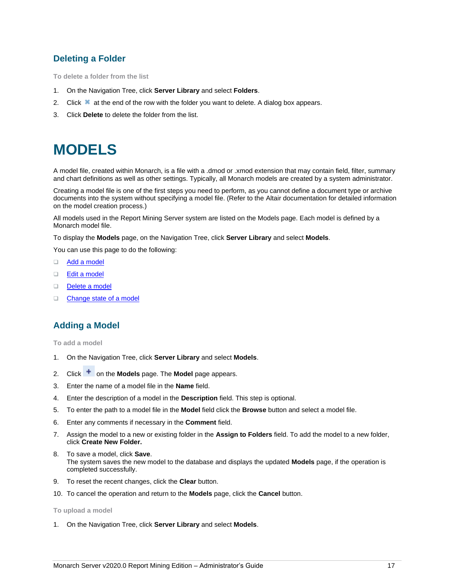# <span id="page-20-0"></span>**Deleting a Folder**

**To delete a folder from the list**

- 1. On the Navigation Tree, click **Server Library** and select **Folders**.
- 2. Click  $\blacktriangleright$  at the end of the row with the folder you want to delete. A dialog box appears.
- <span id="page-20-1"></span>3. Click **Delete** to delete the folder from the list.

# **MODELS**

<span id="page-20-3"></span>A model file, created within Monarch, is a file with a .dmod or .xmod extension that may contain field, filter, summary and chart definitions as well as other settings. Typically, all Monarch models are created by a system administrator.

Creating a model file is one of the first steps you need to perform, as you cannot define a document type or archive documents into the system without specifying a model file. (Refer to the Altair documentation for detailed information on the model creation process.)

All models used in the Report Mining Server system are listed on the Models page. Each model is defined by a Monarch model file.

To display the **Models** page, on the Navigation Tree, click **Server Library** and select **Models**.

You can use this page to do the following:

- ❑ [Add a model](#page-20-2)
- ❑ [Edit a model](#page-21-1)
- ❑ [Delete a model](#page-23-0)
- <span id="page-20-2"></span>□ [Change state of a model](#page-24-0)

# **Adding a Model**

**To add a model**

- 1. On the Navigation Tree, click **Server Library** and select **Models**.
- 2. Click <sup>+</sup> on the **Models** page. The **Model** page appears.
- 3. Enter the name of a model file in the **Name** field.
- 4. Enter the description of a model in the **Description** field. This step is optional.
- 5. To enter the path to a model file in the **Model** field click the **Browse** button and select a model file.
- 6. Enter any comments if necessary in the **Comment** field.
- 7. Assign the model to a new or existing folder in the **Assign to Folders** field. To add the model to a new folder, click **Create New Folder.**
- 8. To save a model, click **Save**. The system saves the new model to the database and displays the updated **Models** page, if the operation is completed successfully.
- 9. To reset the recent changes, click the **Clear** button.
- 10. To cancel the operation and return to the **Models** page, click the **Cancel** button.

#### **To upload a model**

1. On the Navigation Tree, click **Server Library** and select **Models**.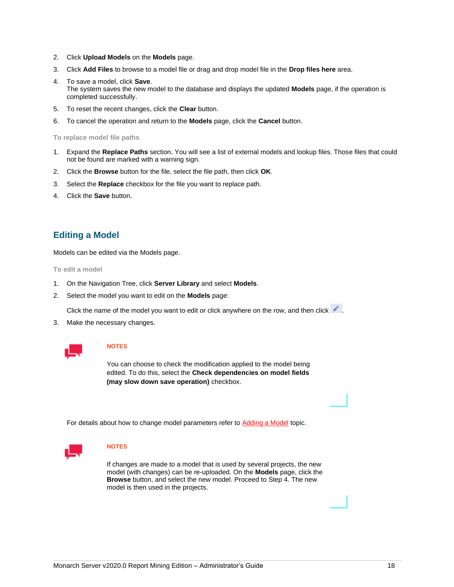- 2. Click **Upload Models** on the **Models** page.
- 3. Click **Add Files** to browse to a model file or drag and drop model file in the **Drop files here** area.
- 4. To save a model, click **Save**. The system saves the new model to the database and displays the updated **Models** page, if the operation is completed successfully.
- 5. To reset the recent changes, click the **Clear** button.
- 6. To cancel the operation and return to the **Models** page, click the **Cancel** button.

**To replace model file paths**

- 1. Expand the **Replace Paths** section. You will see a list of external models and lookup files. Those files that could not be found are marked with a warning sign.
- 2. Click the **Browse** button for the file, select the file path, then click **OK**.
- 3. Select the **Replace** checkbox for the file you want to replace path.
- 4. Click the **Save** button.

### <span id="page-21-0"></span>**Editing a Model**

<span id="page-21-1"></span>Models can be edited via the Models page.

**To edit a model**

- 1. On the Navigation Tree, click **Server Library** and select **Models**.
- 2. Select the model you want to edit on the **Models** page:

Click the name of the model you want to edit or click anywhere on the row, and then click .

3. Make the necessary changes.



#### **NOTES**

You can choose to check the modification applied to the model being edited. To do this, select the **Check dependencies on model fields (may slow down save operation)** checkbox.

For details about how to change model parameters refer to [Adding a Model](#page-20-2) topic.



#### **NOTES**

If changes are made to a model that is used by several projects, the new model (with changes) can be re-uploaded. On the **Models** page, click the **Browse** button, and select the new model. Proceed to Step 4. The new model is then used in the projects.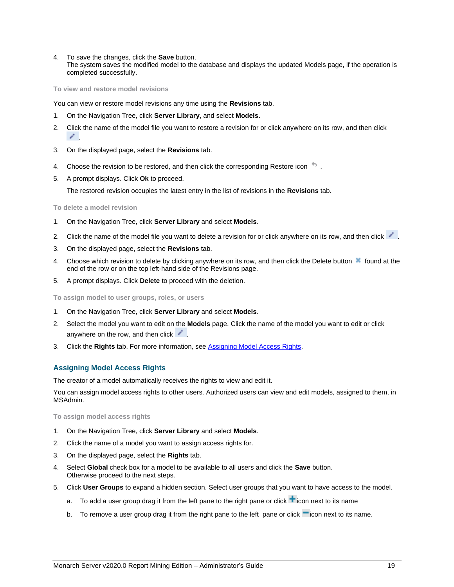4. To save the changes, click the **Save** button.

The system saves the modified model to the database and displays the updated Models page, if the operation is completed successfully.

**To view and restore model revisions**

You can view or restore model revisions any time using the **Revisions** tab.

- 1. On the Navigation Tree, click **Server Library**, and select **Models**.
- 2. Click the name of the model file you want to restore a revision for or click anywhere on its row, and then click .
- 3. On the displayed page, select the **Revisions** tab.
- 4. Choose the revision to be restored, and then click the corresponding Restore icon
- 5. A prompt displays. Click **Ok** to proceed.

The restored revision occupies the latest entry in the list of revisions in the **Revisions** tab.

#### **To delete a model revision**

- 1. On the Navigation Tree, click **Server Library** and select **Models**.
- 2. Click the name of the model file you want to delete a revision for or click anywhere on its row, and then click  $\cdot$ .
- 3. On the displayed page, select the **Revisions** tab.
- 4. Choose which revision to delete by clicking anywhere on its row, and then click the Delete button \* found at the end of the row or on the top left-hand side of the Revisions page.
- 5. A prompt displays. Click **Delete** to proceed with the deletion.

**To assign model to user groups, roles, or users** 

- 1. On the Navigation Tree, click **Server Library** and select **Models**.
- 2. Select the model you want to edit on the **Models** page. Click the name of the model you want to edit or click anywhere on the row, and then click  $\blacksquare$ .
- 3. Click the **Rights** tab. For more information, se[e Assigning Model Access Rights.](#page-22-0)

#### <span id="page-22-0"></span>**Assigning Model Access Rights**

The creator of a model automatically receives the rights to view and edit it.

You can assign model access rights to other users. Authorized users can view and edit models, assigned to them, in MSAdmin.

#### **To assign model access rights**

- 1. On the Navigation Tree, click **Server Library** and select **Models**.
- 2. Click the name of a model you want to assign access rights for.
- 3. On the displayed page, select the **Rights** tab.
- 4. Select **Global** check box for a model to be available to all users and click the **Save** button. Otherwise proceed to the next steps.
- 5. Click **User Groups** to expand a hidden section. Select user groups that you want to have access to the model.
	- a. To add a user group drag it from the left pane to the right pane or click  $\pm$  icon next to its name
	- b. To remove a user group drag it from the right pane to the left pane or click  $\blacksquare$  icon next to its name.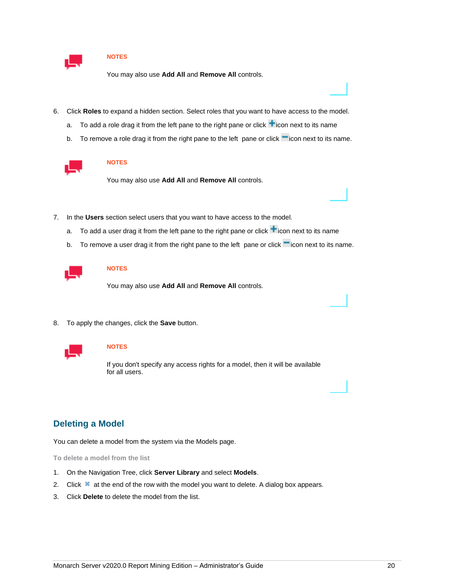

You may also use **Add All** and **Remove All** controls.

- 6. Click **Roles** to expand a hidden section. Select roles that you want to have access to the model.
	- a. To add a role drag it from the left pane to the right pane or click  $\blacksquare$  icon next to its name
	- b. To remove a role drag it from the right pane to the left pane or click icon next to its name.



#### **NOTES**

You may also use **Add All** and **Remove All** controls.

- 7. In the **Users** section select users that you want to have access to the model.
	- a. To add a user drag it from the left pane to the right pane or click  $\blacksquare$  icon next to its name
	- b. To remove a user drag it from the right pane to the left pane or click  $\blacksquare$  icon next to its name.



### **NOTES**

You may also use **Add All** and **Remove All** controls.

8. To apply the changes, click the **Save** button.



### **NOTES**

If you don't specify any access rights for a model, then it will be available for all users.

## <span id="page-23-0"></span>**Deleting a Model**

You can delete a model from the system via the Models page.

**To delete a model from the list**

- 1. On the Navigation Tree, click **Server Library** and select **Models**.
- 2. Click  $\blacktriangleright$  at the end of the row with the model you want to delete. A dialog box appears.
- 3. Click **Delete** to delete the model from the list.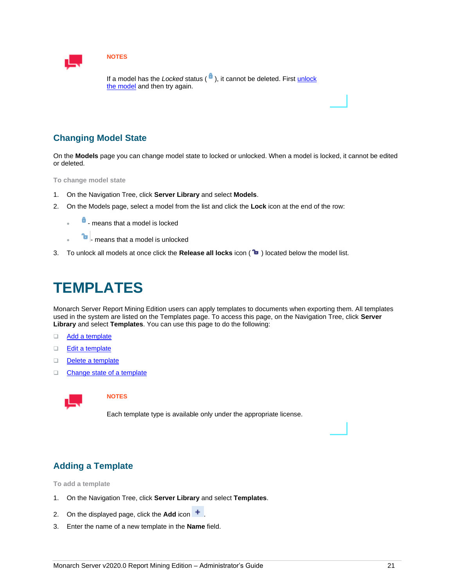

If a model has the *Locked* status ( $\theta$ ), it cannot be deleted. First unlock [the model](#page-24-0) and then try again.

# <span id="page-24-0"></span>**Changing Model State**

On the **Models** page you can change model state to locked or unlocked. When a model is locked, it cannot be edited or deleted.

**To change model state**

- 1. On the Navigation Tree, click **Server Library** and select **Models**.
- 2. On the Models page, select a model from the list and click the **Lock** icon at the end of the row:
	- **f** means that a model is locked
	- **<sup>t</sup>** means that a model is unlocked
- <span id="page-24-1"></span>3. To unlock all models at once click the Release all locks icon (<sup>1</sup> ) located below the model list.

# **TEMPLATES**

<span id="page-24-3"></span>Monarch Server Report Mining Edition users can apply templates to documents when exporting them. All templates used in the system are listed on the Templates page. To access this page, on the Navigation Tree, click **Server Library** and select **Templates**. You can use this page to do the following:

- □ [Add a template](#page-24-2)
- ❑ [Edit a template](#page-25-1)
- ❑ [Delete a template](#page-27-0)
- ❑ [Change state of a template](#page-27-1)



### **NOTES**

Each template type is available only under the appropriate license.

# <span id="page-24-2"></span>**Adding a Template**

**To add a template** 

- 1. On the Navigation Tree, click **Server Library** and select **Templates**.
- 2. On the displayed page, click the **Add** icon  $\pm$ .
- 3. Enter the name of a new template in the **Name** field.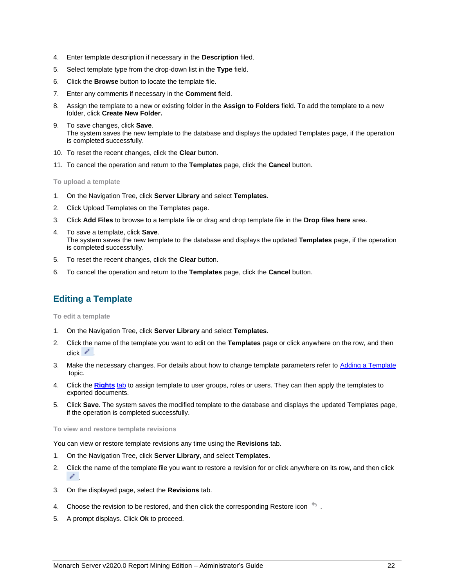- 4. Enter template description if necessary in the **Description** filed.
- 5. Select template type from the drop-down list in the **Type** field.
- 6. Click the **Browse** button to locate the template file.
- 7. Enter any comments if necessary in the **Comment** field.
- 8. Assign the template to a new or existing folder in the **Assign to Folders** field. To add the template to a new folder, click **Create New Folder.**
- 9. To save changes, click **Save**. The system saves the new template to the database and displays the updated Templates page, if the operation is completed successfully.
- 10. To reset the recent changes, click the **Clear** button.
- 11. To cancel the operation and return to the **Templates** page, click the **Cancel** button.

**To upload a template**

- 1. On the Navigation Tree, click **Server Library** and select **Templates**.
- 2. Click Upload Templates on the Templates page.
- 3. Click **Add Files** to browse to a template file or drag and drop template file in the **Drop files here** area.
- 4. To save a template, click **Save**. The system saves the new template to the database and displays the updated **Templates** page, if the operation is completed successfully.
- 5. To reset the recent changes, click the **Clear** button.
- <span id="page-25-0"></span>6. To cancel the operation and return to the **Templates** page, click the **Cancel** button.

# **Editing a Template**

<span id="page-25-1"></span>**To edit a template**

- 1. On the Navigation Tree, click **Server Library** and select **Templates**.
- 2. Click the name of the template you want to edit on the **Templates** page or click anywhere on the row, and then  $click$   $^*$ .
- 3. Make the necessary changes. For details about how to change template parameters refer to [Adding a Template](#page-24-2) topic.
- 4. Click the **[Rights](#page-26-0)** [tab](#page-26-0) to assign template to user groups, roles or users. They can then apply the templates to exported documents.
- 5. Click **Save**. The system saves the modified template to the database and displays the updated Templates page, if the operation is completed successfully.

**To view and restore template revisions**

You can view or restore template revisions any time using the **Revisions** tab.

- 1. On the Navigation Tree, click **Server Library**, and select **Templates**.
- 2. Click the name of the template file you want to restore a revision for or click anywhere on its row, and then click .
- 3. On the displayed page, select the **Revisions** tab.
- 4. Choose the revision to be restored, and then click the corresponding Restore icon
- 5. A prompt displays. Click **Ok** to proceed.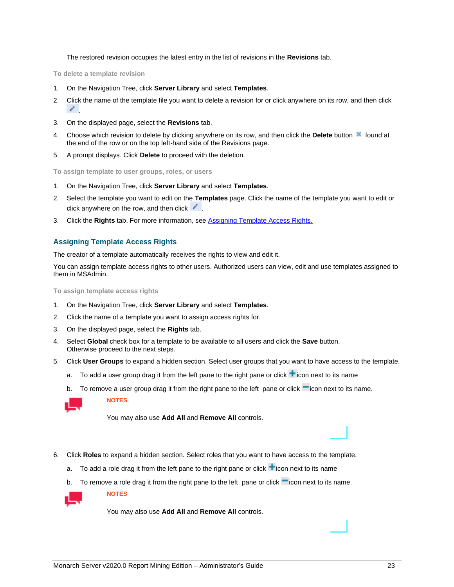The restored revision occupies the latest entry in the list of revisions in the **Revisions** tab.

**To delete a template revision**

- 1. On the Navigation Tree, click **Server Library** and select **Templates**.
- 2. Click the name of the template file you want to delete a revision for or click anywhere on its row, and then click .
- 3. On the displayed page, select the **Revisions** tab.
- 4. Choose which revision to delete by clicking anywhere on its row, and then click the Delete button **found at** the end of the row or on the top left-hand side of the Revisions page.
- 5. A prompt displays. Click **Delete** to proceed with the deletion.

**To assign template to user groups, roles, or users** 

- 1. On the Navigation Tree, click **Server Library** and select **Templates**.
- 2. Select the template you want to edit on the **Templates** page. Click the name of the template you want to edit or click anywhere on the row, and then click  $\cdot$ .
- 3. Click the **Rights** tab. For more information, se[e Assigning Template Access Rights.](#page-26-0)

#### <span id="page-26-0"></span>**Assigning Template Access Rights**

The creator of a template automatically receives the rights to view and edit it.

You can assign template access rights to other users. Authorized users can view, edit and use templates assigned to them in MSAdmin.

**To assign template access rights**

- 1. On the Navigation Tree, click **Server Library** and select **Templates**.
- 2. Click the name of a template you want to assign access rights for.
- 3. On the displayed page, select the **Rights** tab.
- 4. Select **Global** check box for a template to be available to all users and click the **Save** button. Otherwise proceed to the next steps.
- 5. Click **User Groups** to expand a hidden section. Select user groups that you want to have access to the template.
	- a. To add a user group drag it from the left pane to the right pane or click  $\blacksquare$  icon next to its name
	- b. To remove a user group drag it from the right pane to the left pane or click  $\blacksquare$  icon next to its name.



**NOTES**

**NOTES**

You may also use **Add All** and **Remove All** controls.

- 6. Click **Roles** to expand a hidden section. Select roles that you want to have access to the template.
	- a. To add a role drag it from the left pane to the right pane or click  $\blacksquare$  icon next to its name
	- b. To remove a role drag it from the right pane to the left pane or click  $\blacksquare$  icon next to its name.

You may also use **Add All** and **Remove All** controls.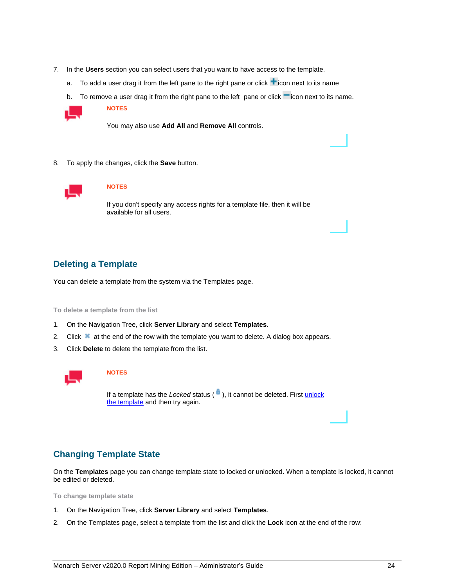- 7. In the **Users** section you can select users that you want to have access to the template.
	- a. To add a user drag it from the left pane to the right pane or click  $\blacksquare$  icon next to its name
	- b. To remove a user drag it from the right pane to the left pane or click  $\blacksquare$  icon next to its name.



You may also use **Add All** and **Remove All** controls.

8. To apply the changes, click the **Save** button.



#### **NOTES**

If you don't specify any access rights for a template file, then it will be available for all users.

### <span id="page-27-0"></span>**Deleting a Template**

You can delete a template from the system via the Templates page.

**To delete a template from the list**

- 1. On the Navigation Tree, click **Server Library** and select **Templates**.
- 2. Click  $\bullet$  at the end of the row with the template you want to delete. A dialog box appears.
- 3. Click **Delete** to delete the template from the list.



#### **NOTES**

If a template has the *Locked* status ( $\theta$ ), it cannot be deleted. First unlock [the template](#page-27-1) and then try again.

## <span id="page-27-1"></span>**Changing Template State**

On the **Templates** page you can change template state to locked or unlocked. When a template is locked, it cannot be edited or deleted.

**To change template state**

- 1. On the Navigation Tree, click **Server Library** and select **Templates**.
- 2. On the Templates page, select a template from the list and click the **Lock** icon at the end of the row: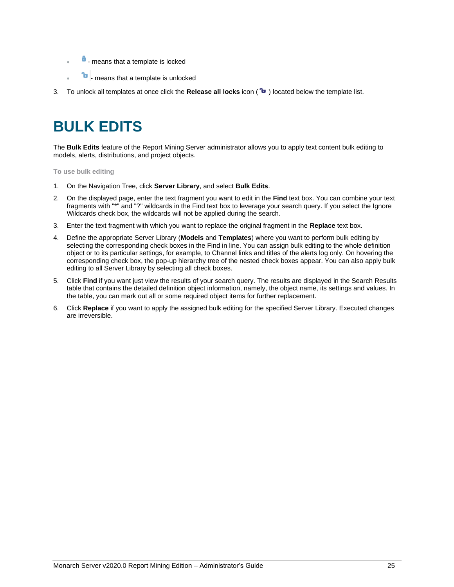- **f** means that a template is locked
- **<sup>t</sup>** means that a template is unlocked
- <span id="page-28-0"></span>3. To unlock all templates at once click the **Release all locks** icon ( ) located below the template list.

# **BULK EDITS**

The **Bulk Edits** feature of the Report Mining Server administrator allows you to apply text content bulk editing to models, alerts, distributions, and project objects.

**To use bulk editing**

- 1. On the Navigation Tree, click **Server Library**, and select **Bulk Edits**.
- 2. On the displayed page, enter the text fragment you want to edit in the **Find** text box. You can combine your text fragments with "\*" and "?" wildcards in the Find text box to leverage your search query. If you select the Ignore Wildcards check box, the wildcards will not be applied during the search.
- 3. Enter the text fragment with which you want to replace the original fragment in the **Replace** text box.
- 4. Define the appropriate Server Library (**Models** and **Templates**) where you want to perform bulk editing by selecting the corresponding check boxes in the Find in line. You can assign bulk editing to the whole definition object or to its particular settings, for example, to Channel links and titles of the alerts log only. On hovering the corresponding check box, the pop-up hierarchy tree of the nested check boxes appear. You can also apply bulk editing to all Server Library by selecting all check boxes.
- 5. Click **Find** if you want just view the results of your search query. The results are displayed in the Search Results table that contains the detailed definition object information, namely, the object name, its settings and values. In the table, you can mark out all or some required object items for further replacement.
- 6. Click **Replace** if you want to apply the assigned bulk editing for the specified Server Library. Executed changes are irreversible.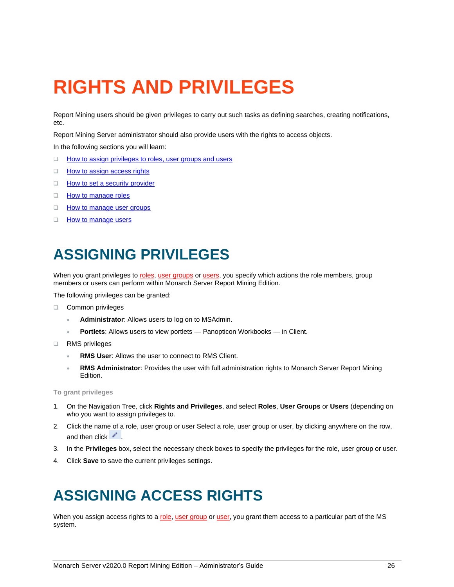# <span id="page-29-0"></span>**RIGHTS AND PRIVILEGES**

Report Mining users should be given privileges to carry out such tasks as defining searches, creating notifications, etc.

Report Mining Server administrator should also provide users with the rights to access objects.

In the following sections you will learn:

- ❑ [How to assign privileges to roles, user groups and users](#page-29-4)
- □ [How to assign access rights](#page-29-3)
- □ [How to set a security provider](#page-30-0)
- ❑ [How to manage roles](#page-31-2)
- □ [How to manage user groups](#page-33-3)
- <span id="page-29-1"></span>□ [How to manage users](#page-36-2)

# **ASSIGNING PRIVILEGES**

<span id="page-29-4"></span>When you grant privileges t[o roles,](#page-31-2) [user groups](#page-33-3) o[r users,](#page-36-2) you specify which actions the role members, group members or users can perform within Monarch Server Report Mining Edition.

The following privileges can be granted:

- ❑ Common privileges
	- **Administrator**: Allows users to log on to MSAdmin.
	- **Portlets**: Allows users to view portlets Panopticon Workbooks in Client.
- ❑ RMS privileges
	- **RMS User**: Allows the user to connect to RMS Client.
	- **RMS Administrator**: Provides the user with full administration rights to Monarch Server Report Mining Edition.

**To grant privileges**

- 1. On the Navigation Tree, click **Rights and Privileges**, and select **Roles**, **User Groups** or **Users** (depending on who you want to assign privileges to.
- 2. Click the name of a role, user group or user Select a role, user group or user, by clicking anywhere on the row, and then click  $\mathcal{L}$ .
- 3. In the **Privileges** box, select the necessary check boxes to specify the privileges for the role, user group or user.
- <span id="page-29-2"></span>4. Click **Save** to save the current privileges settings.

# **ASSIGNING ACCESS RIGHTS**

<span id="page-29-3"></span>When you assign access rights to a [role,](#page-31-2) [user group](#page-33-3) or [user,](#page-36-2) you grant them access to a particular part of the MS system.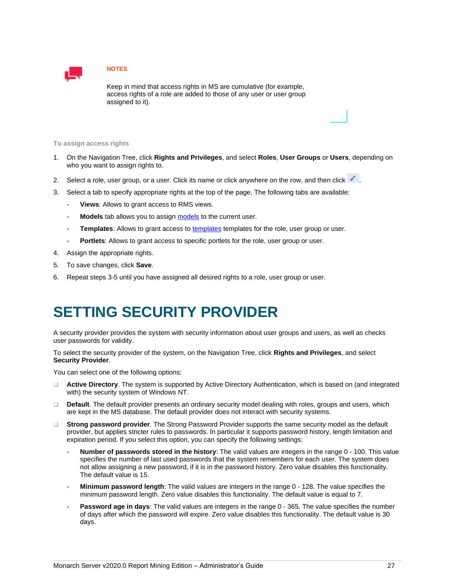

Keep in mind that access rights in MS are cumulative (for example, access rights of a role are added to those of any user or user group assigned to it).

#### **To assign access rights**

- 1. On the Navigation Tree, click **Rights and Privileges**, and select **Roles**, **User Groups** or **Users**, depending on who you want to assign rights to.
- 2. Select a role, user group, or a user. Click its name or click anywhere on the row, and then click .
- 3. Select a tab to specify appropriate rights at the top of the page. The following tabs are available:
	- **Views**: Allows to grant access to RMS views.
	- Models tab allows you to assig[n models](#page-20-3) to the current user.
	- Templates: Allows to grant access to **templates** templates for the role, user group or user.
	- **Portlets**: Allows to grant access to specific portlets for the role, user group or user.
- 4. Assign the appropriate rights.
- 5. To save changes, click **Save**.
- <span id="page-30-0"></span>6. Repeat steps 3-5 until you have assigned all desired rights to a role, user group or user.

# **SETTING SECURITY PROVIDER**

A security provider provides the system with security information about user groups and users, as well as checks user passwords for validity.

To select the security provider of the system, on the Navigation Tree, click **Rights and Privileges**, and select **Security Provider**.

You can select one of the following options:

- ❑ **Active Directory**. The system is supported by Active Directory Authentication, which is based on (and integrated with) the security system of Windows NT.
- ❑ **Default**. The default provider presents an ordinary security model dealing with roles, groups and users, which are kept in the MS database. The default provider does not interact with security systems.
- ❑ **Strong password provider**. The Strong Password Provider supports the same security model as the default provider, but applies stricter rules to passwords. In particular it supports password history, length limitation and expiration period. If you select this option, you can specify the following settings:
	- **Number of passwords stored in the history**: The valid values are integers in the range 0 100. This value specifies the number of last used passwords that the system remembers for each user. The system does not allow assigning a new password, if it is in the password history. Zero value disables this functionality. The default value is 15.
	- **Minimum password length**: The valid values are integers in the range 0 128. The value specifies the minimum password length. Zero value disables this functionality. The default value is equal to 7.
	- **Password age in days**: The valid values are integers in the range 0 365. The value specifies the number of days after which the password will expire. Zero value disables this functionality. The default value is 30 days.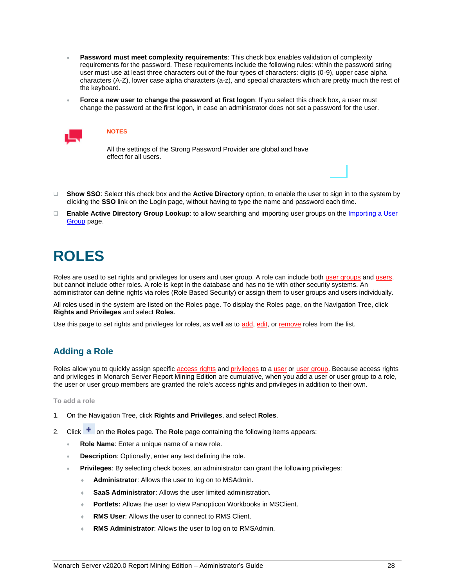- **Password must meet complexity requirements**: This check box enables validation of complexity requirements for the password. These requirements include the following rules: within the password string user must use at least three characters out of the four types of characters: digits (0-9), upper case alpha characters (A-Z), lower case alpha characters (a-z), and special characters which are pretty much the rest of the keyboard.
- **Force a new user to change the password at first logon:** If you select this check box, a user must change the password at the first logon, in case an administrator does not set a password for the user.



All the settings of the Strong Password Provider are global and have effect for all users.

- ❑ **Show SSO**: Select this check box and the **Active Directory** option, to enable the user to sign in to the system by clicking the **SSO** link on the Login page, without having to type the name and password each time.
- ❑ **Enable Active Directory Group Lookup**: to allow searching and importing user groups on the [Importing a User](#page-34-0)  [Group](#page-34-0) page.

# <span id="page-31-0"></span>**ROLES**

<span id="page-31-2"></span>Roles are used to set rights and privileges for users and user group. A role can include both [user groups](#page-33-3) an[d users,](#page-36-2) but cannot include other roles. A role is kept in the database and has no tie with other security systems. An administrator can define rights via roles (Role Based Security) or assign them to user groups and users individually.

All roles used in the system are listed on the Roles page. To display the Roles page, on the Navigation Tree, click **Rights and Privileges** and select **Roles**.

<span id="page-31-1"></span>Use this page to set rights and privileges for roles, as well as to [add,](#page-31-1) [edit,](#page-32-0) or [remove](#page-33-0) roles from the list.

# **Adding a Role**

Roles allow you to quickly assign specific [access rights](#page-29-3) and [privileges](#page-29-4) to a [user](#page-36-2) o[r user group.](#page-33-3) Because access rights and privileges in Monarch Server Report Mining Edition are cumulative, when you add a user or user group to a role, the user or user group members are granted the role's access rights and privileges in addition to their own.

**To add a role**

- 1. On the Navigation Tree, click **Rights and Privileges**, and select **Roles**.
- 2. Click <sup>+</sup> on the **Roles** page. The **Role** page containing the following items appears:
	- **Role Name**: Enter a unique name of a new role.
	- **Description:** Optionally, enter any text defining the role.
	- **Privileges**: By selecting check boxes, an administrator can grant the following privileges:
		- **Administrator**: Allows the user to log on to MSAdmin.
		- **SaaS Administrator**: Allows the user limited administration.
		- **Portlets:** Allows the user to view Panopticon Workbooks in MSClient.
		- **RMS User**: Allows the user to connect to RMS Client.
		- **RMS Administrator:** Allows the user to log on to RMSAdmin.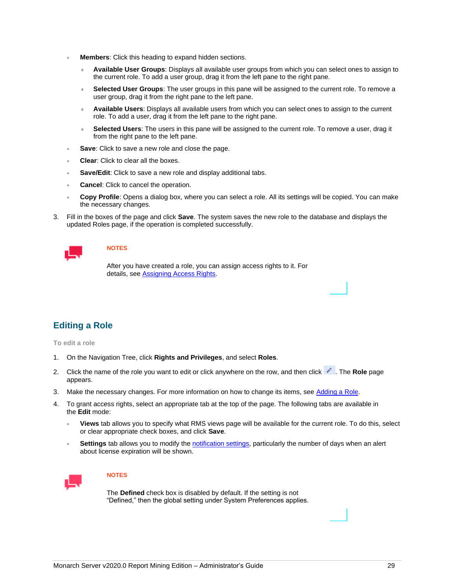- **Members:** Click this heading to expand hidden sections.
	- **Available User Groups**: Displays all available user groups from which you can select ones to assign to the current role. To add a user group, drag it from the left pane to the right pane.
	- **Selected User Groups**: The user groups in this pane will be assigned to the current role. To remove a user group, drag it from the right pane to the left pane.
	- **Available Users**: Displays all available users from which you can select ones to assign to the current role. To add a user, drag it from the left pane to the right pane.
	- **Selected Users**: The users in this pane will be assigned to the current role. To remove a user, drag it from the right pane to the left pane.
- **Save:** Click to save a new role and close the page.
- **Clear:** Click to clear all the boxes.
- Save/Edit: Click to save a new role and display additional tabs.
- **Cancel:** Click to cancel the operation.
- **Copy Profile**: Opens a dialog box, where you can select a role. All its settings will be copied. You can make the necessary changes.
- 3. Fill in the boxes of the page and click **Save**. The system saves the new role to the database and displays the updated Roles page, if the operation is completed successfully.



After you have created a role, you can assign access rights to it. For details, see [Assigning Access Rights.](#page-29-3)

# <span id="page-32-0"></span>**Editing a Role**

**To edit a role**

- 1. On the Navigation Tree, click **Rights and Privileges**, and select **Roles**.
- 2. Click the name of the role you want to edit or click anywhere on the row, and then click **.** The **Role** page appears.
- 3. Make the necessary changes. For more information on how to change its items, see [Adding a Role.](#page-31-1)
- 4. To grant access rights, select an appropriate tab at the top of the page. The following tabs are available in the **Edit** mode:
	- **Views** tab allows you to specify what RMS views page will be available for the current role. To do this, select or clear appropriate check boxes, and click **Save**.
	- Settings tab allows you to modify the **notification settings**, particularly the number of days when an alert about license expiration will be shown.



#### **NOTES**

The **Defined** check box is disabled by default. If the setting is not "Defined," then the global setting under System Preferences applies.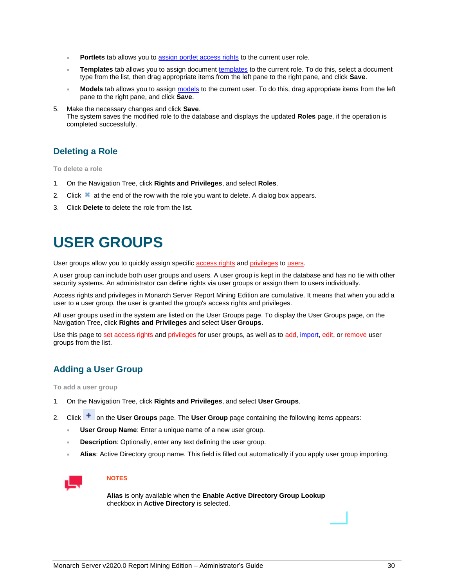- Portlets tab allows you t[o assign portlet access rights](#page-29-3) to the current user role.
- Templates tab allows you to assign document [templates](#page-24-3) to the current role. To do this, select a document type from the list, then drag appropriate items from the left pane to the right pane, and click **Save**.
- Models tab allows you to assig[n models](#page-20-3) to the current user. To do this, drag appropriate items from the left pane to the right pane, and click **Save**.

#### 5. Make the necessary changes and click **Save**.

The system saves the modified role to the database and displays the updated **Roles** page, if the operation is completed successfully.

## <span id="page-33-0"></span>**Deleting a Role**

**To delete a role**

- 1. On the Navigation Tree, click **Rights and Privileges**, and select **Roles**.
- 2. Click  $\blacktriangleright$  at the end of the row with the role you want to delete. A dialog box appears.
- <span id="page-33-1"></span>3. Click **Delete** to delete the role from the list.

# **USER GROUPS**

<span id="page-33-3"></span>User groups allow you to quickly assign specifi[c access rights](#page-29-3) and [privileges](#page-29-4) t[o users.](#page-36-2)

A user group can include both user groups and users. A user group is kept in the database and has no tie with other security systems. An administrator can define rights via user groups or assign them to users individually.

Access rights and privileges in Monarch Server Report Mining Edition are cumulative. It means that when you add a user to a user group, the user is granted the group's access rights and privileges.

All user groups used in the system are listed on the User Groups page. To display the User Groups page, on the Navigation Tree, click **Rights and Privileges** and select **User Groups**.

Use this page t[o set access rights](#page-29-3) an[d privileges](#page-29-4) for user groups, as well as t[o add,](#page-33-2) [import,](#page-34-0) [edit,](#page-35-0) o[r remove](#page-35-1) user groups from the list.

# <span id="page-33-2"></span>**Adding a User Group**

**To add a user group**

- 1. On the Navigation Tree, click **Rights and Privileges**, and select **User Groups**.
- 2. Click <sup>+</sup> on the **User Groups** page. The **User Group** page containing the following items appears:
	- **User Group Name**: Enter a unique name of a new user group.
	- **Description:** Optionally, enter any text defining the user group.
	- **Alias**: Active Directory group name. This field is filled out automatically if you apply user group importing.



#### **NOTES**

**Alias** is only available when the **Enable Active Directory Group Lookup**  checkbox in **Active Directory** is selected.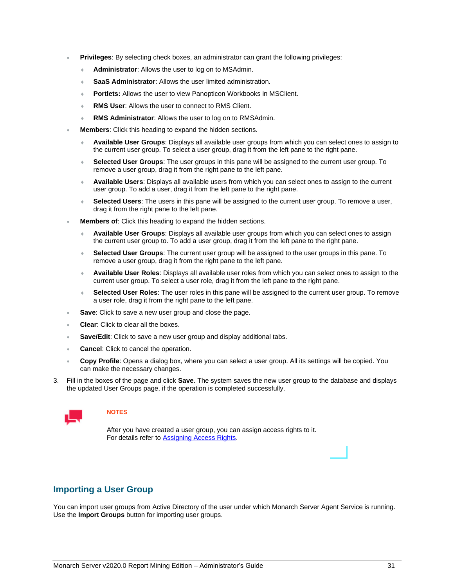- **Privileges**: By selecting check boxes, an administrator can grant the following privileges:
	- **Administrator**: Allows the user to log on to MSAdmin.
	- **SaaS Administrator**: Allows the user limited administration.
	- **Portlets:** Allows the user to view Panopticon Workbooks in MSClient.
	- **RMS User**: Allows the user to connect to RMS Client.
	- **RMS Administrator**: Allows the user to log on to RMSAdmin.
- **Members**: Click this heading to expand the hidden sections.
	- **Available User Groups**: Displays all available user groups from which you can select ones to assign to the current user group. To select a user group, drag it from the left pane to the right pane.
	- **Selected User Groups**: The user groups in this pane will be assigned to the current user group. To remove a user group, drag it from the right pane to the left pane.
	- **Available Users**: Displays all available users from which you can select ones to assign to the current user group. To add a user, drag it from the left pane to the right pane.
	- **Selected Users**: The users in this pane will be assigned to the current user group. To remove a user, drag it from the right pane to the left pane.
- **Members of:** Click this heading to expand the hidden sections.
	- **Available User Groups**: Displays all available user groups from which you can select ones to assign the current user group to. To add a user group, drag it from the left pane to the right pane.
	- **Selected User Groups**: The current user group will be assigned to the user groups in this pane. To remove a user group, drag it from the right pane to the left pane.
	- **Available User Roles**: Displays all available user roles from which you can select ones to assign to the current user group. To select a user role, drag it from the left pane to the right pane.
	- **Selected User Roles**: The user roles in this pane will be assigned to the current user group. To remove a user role, drag it from the right pane to the left pane.
- **Save:** Click to save a new user group and close the page.
- **Clear:** Click to clear all the boxes.
- Save/Edit: Click to save a new user group and display additional tabs.
- **Cancel:** Click to cancel the operation.
- **Copy Profile**: Opens a dialog box, where you can select a user group. All its settings will be copied. You can make the necessary changes.
- 3. Fill in the boxes of the page and click **Save**. The system saves the new user group to the database and displays the updated User Groups page, if the operation is completed successfully.



After you have created a user group, you can assign access rights to it. For details refer t[o Assigning Access Rights.](#page-29-3)

### <span id="page-34-0"></span>**Importing a User Group**

You can import user groups from Active Directory of the user under which Monarch Server Agent Service is running. Use the **Import Groups** button for importing user groups.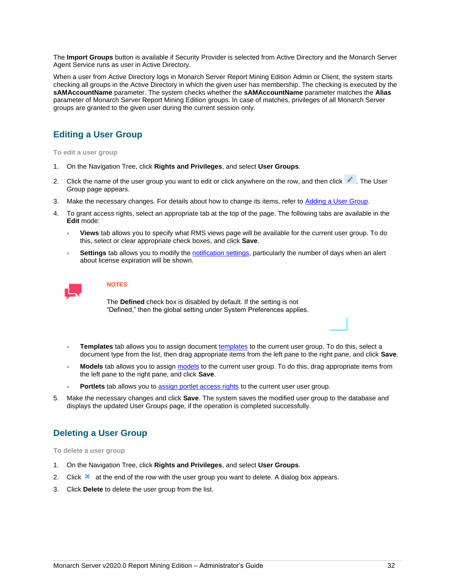The **Import Groups** button is available if Security Provider is selected from Active Directory and the Monarch Server Agent Service runs as user in Active Directory.

When a user from Active Directory logs in Monarch Server Report Mining Edition Admin or Client, the system starts checking all groups in the Active Directory in which the given user has membership. The checking is executed by the **sAMAccountName** parameter. The system checks whether the **sAMAccountName** parameter matches the **Alias** parameter of Monarch Server Report Mining Edition groups. In case of matches, privileges of all Monarch Server groups are granted to the given user during the current session only.

# <span id="page-35-0"></span>**Editing a User Group**

**To edit a user group**

- 1. On the Navigation Tree, click **Rights and Privileges**, and select **User Groups**.
- 2. Click the name of the user group you want to edit or click anywhere on the row, and then click . The User Group page appears.
- 3. Make the necessary changes. For details about how to change its items, refer t[o Adding a User Group.](#page-33-2)
- 4. To grant access rights, select an appropriate tab at the top of the page. The following tabs are available in the **Edit** mode:
	- **Views** tab allows you to specify what RMS views page will be available for the current user group. To do this, select or clear appropriate check boxes, and click **Save**.
	- Settings tab allows you to modify th[e notification settings,](#page-40-0) particularly the number of days when an alert about license expiration will be shown.

### **NOTES**

The **Defined** check box is disabled by default. If the setting is not "Defined," then the global setting under System Preferences applies.

- Templates tab allows you to assign document [templates](#page-24-3) to the current user group. To do this, select a document type from the list, then drag appropriate items from the left pane to the right pane, and click **Save**.
- **Models** tab allows you to assig[n models](#page-20-3) to the current user group. To do this, drag appropriate items from the left pane to the right pane, and click **Save**.
- Portlets tab allows you t[o assign portlet access rights](#page-29-3) to the current user user group.
- 5. Make the necessary changes and click **Save**. The system saves the modified user group to the database and displays the updated User Groups page, if the operation is completed successfully.

# <span id="page-35-1"></span>**Deleting a User Group**

**To delete a user group**

- 1. On the Navigation Tree, click **Rights and Privileges**, and select **User Groups**.
- 2. Click at the end of the row with the user group you want to delete. A dialog box appears.
- 3. Click **Delete** to delete the user group from the list.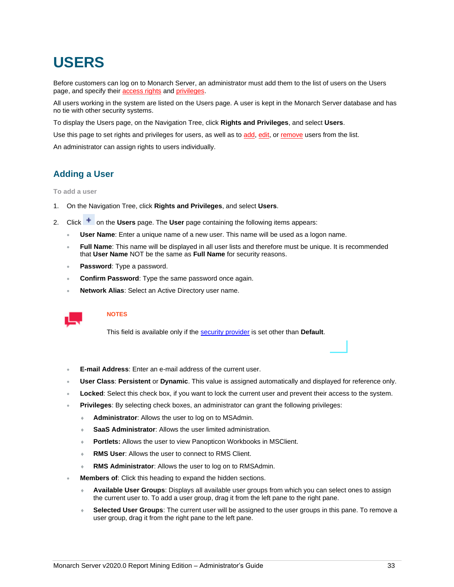# <span id="page-36-0"></span>**USERS**

<span id="page-36-2"></span>Before customers can log on to Monarch Server, an administrator must add them to the list of users on the Users page, and specify their [access rights](#page-29-3) an[d privileges.](#page-29-4)

All users working in the system are listed on the Users page. A user is kept in the Monarch Server database and has no tie with other security systems.

To display the Users page, on the Navigation Tree, click **Rights and Privileges**, and select **Users**.

Use this page to set rights and privileges for users, as well as t[o add,](#page-36-1) [edit,](#page-38-0) o[r remove](#page-38-1) users from the list.

<span id="page-36-1"></span>An administrator can assign rights to users individually.

# **Adding a User**

**To add a user**

- 1. On the Navigation Tree, click **Rights and Privileges**, and select **Users**.
- 2. Click <sup>+</sup> on the **Users** page. The **User** page containing the following items appears:
	- **User Name**: Enter a unique name of a new user. This name will be used as a logon name.
	- **Full Name**: This name will be displayed in all user lists and therefore must be unique. It is recommended that **User Name** NOT be the same as **Full Name** for security reasons.
	- **Password**: Type a password.
	- **Confirm Password**: Type the same password once again.
	- **Network Alias**: Select an Active Directory user name.



### **NOTES**

This field is available only if the [security provider](#page-30-0) is set other than **Default**.

- **E-mail Address**: Enter an e-mail address of the current user.
- **User Class**: **Persistent** or **Dynamic**. This value is assigned automatically and displayed for reference only.
- **Locked:** Select this check box, if you want to lock the current user and prevent their access to the system.
- **Privileges**: By selecting check boxes, an administrator can grant the following privileges:
	- **Administrator**: Allows the user to log on to MSAdmin.
	- **SaaS Administrator**: Allows the user limited administration.
	- **Portlets:** Allows the user to view Panopticon Workbooks in MSClient.
	- **RMS User**: Allows the user to connect to RMS Client.
	- **RMS Administrator**: Allows the user to log on to RMSAdmin.
- **Members of:** Click this heading to expand the hidden sections.
	- **Available User Groups**: Displays all available user groups from which you can select ones to assign the current user to. To add a user group, drag it from the left pane to the right pane.
	- **Selected User Groups**: The current user will be assigned to the user groups in this pane. To remove a user group, drag it from the right pane to the left pane.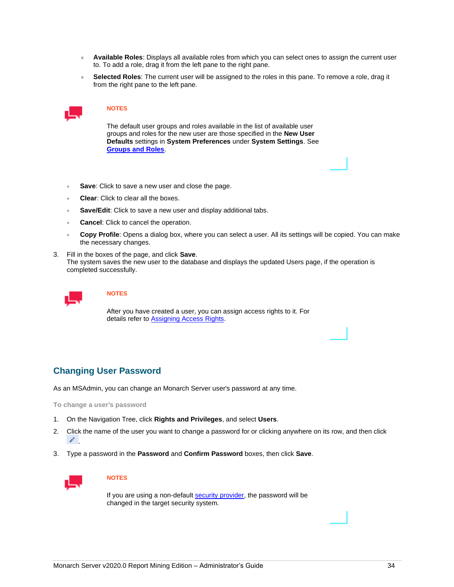- **Available Roles**: Displays all available roles from which you can select ones to assign the current user to. To add a role, drag it from the left pane to the right pane.
- **Selected Roles**: The current user will be assigned to the roles in this pane. To remove a role, drag it from the right pane to the left pane.



The default user groups and roles available in the list of available user groups and roles for the new user are those specified in the **New User Defaults** settings in **System Preferences** under **System Settings**. See **[Groups and Roles](#page-45-1)**.

- **Save:** Click to save a new user and close the page.
- **Clear**: Click to clear all the boxes.
- Save/Edit: Click to save a new user and display additional tabs.
- **Cancel:** Click to cancel the operation.
- **Copy Profile**: Opens a dialog box, where you can select a user. All its settings will be copied. You can make the necessary changes.
- 3. Fill in the boxes of the page, and click **Save**. The system saves the new user to the database and displays the updated Users page, if the operation is completed successfully.



#### **NOTES**

After you have created a user, you can assign access rights to it. For details refer t[o Assigning Access Rights.](#page-29-3)

### <span id="page-37-0"></span>**Changing User Password**

As an MSAdmin, you can change an Monarch Server user's password at any time.

**To change a user's password**

- 1. On the Navigation Tree, click **Rights and Privileges**, and select **Users**.
- 2. Click the name of the user you want to change a password for or clicking anywhere on its row, and then click .
- 3. Type a password in the **Password** and **Confirm Password** boxes, then click **Save**.



#### **NOTES**

If you are using a non-default [security provider,](#page-30-0) the password will be changed in the target security system.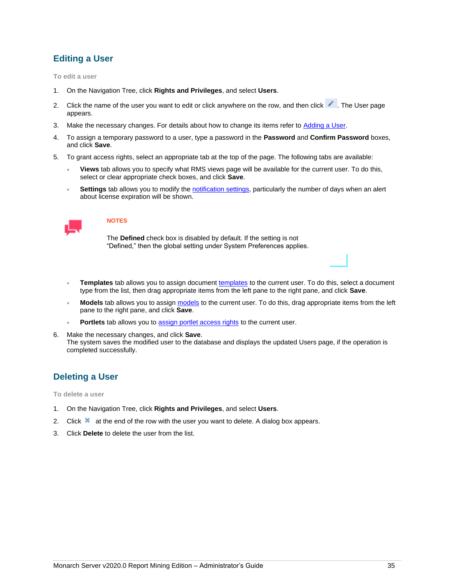# <span id="page-38-0"></span>**Editing a User**

**To edit a user**

- 1. On the Navigation Tree, click **Rights and Privileges**, and select **Users**.
- 2. Click the name of the user you want to edit or click anywhere on the row, and then click . The User page appears.
- 3. Make the necessary changes. For details about how to change its items refer to [Adding a User.](#page-36-1)
- 4. To assign a temporary password to a user, type a password in the **Password** and **Confirm Password** boxes, and click **Save**.
- 5. To grant access rights, select an appropriate tab at the top of the page. The following tabs are available:
	- **Views** tab allows you to specify what RMS views page will be available for the current user. To do this, select or clear appropriate check boxes, and click **Save**.
	- **Settings** tab allows you to modify th[e notification settings,](#page-40-0) particularly the number of days when an alert about license expiration will be shown.



#### **NOTES**

The **Defined** check box is disabled by default. If the setting is not "Defined," then the global setting under System Preferences applies.

- Templates tab allows you to assign document [templates](#page-24-3) to the current user. To do this, select a document type from the list, then drag appropriate items from the left pane to the right pane, and click **Save**.
- **Models** tab allows you to assig[n models](#page-20-3) to the current user. To do this, drag appropriate items from the left pane to the right pane, and click **Save**.
- Portlets tab allows you t[o assign portlet access rights](#page-29-3) to the current user.
- 6. Make the necessary changes, and click **Save**. The system saves the modified user to the database and displays the updated Users page, if the operation is completed successfully.

## <span id="page-38-1"></span>**Deleting a User**

**To delete a user**

- 1. On the Navigation Tree, click **Rights and Privileges**, and select **Users**.
- 2. Click  $\blacksquare$  at the end of the row with the user you want to delete. A dialog box appears.
- 3. Click **Delete** to delete the user from the list.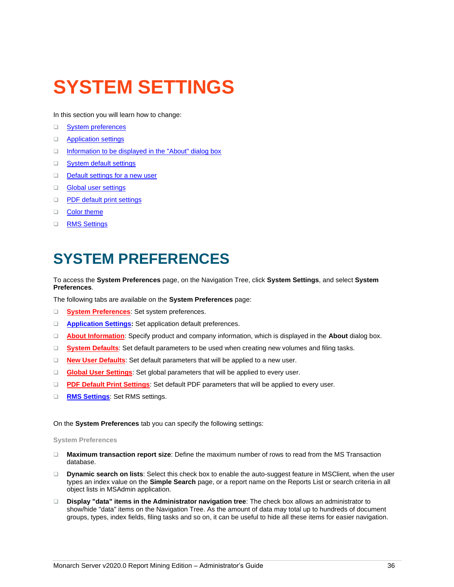# <span id="page-39-0"></span>**SYSTEM SETTINGS**

In this section you will learn how to change:

- ❑ [System preferences](#page-39-3)
- □ [Application settings](#page-41-0)
- □ [Information to be displayed in the "About" dialog box](#page-42-0)
- □ [System default settings](#page-42-1)
- □ [Default settings for a new user](#page-43-0)
- ❑ [Global user settings](#page-45-0)
- ❑ [PDF default print settings](#page-46-0)
- □ [Color theme](#page-48-0)
- <span id="page-39-1"></span>❑ [RMS Settings](#page-46-1)

# **SYSTEM PREFERENCES**

<span id="page-39-2"></span>To access the **System Preferences** page, on the Navigation Tree, click **System Settings**, and select **System Preferences**.

The following tabs are available on the **System Preferences** page:

- ❑ **[System Preferences](#page-39-3)**: Set system preferences.
- ❑ **[Application Settings:](#page-41-0)** Set application default preferences.
- ❑ **[About Information](#page-42-0)**: Specify product and company information, which is displayed in the **About** dialog box.
- ❑ **[System Defaults](#page-42-1)**: Set default parameters to be used when creating new volumes and filing tasks.
- ❑ **[New User Defaults](#page-43-0)**: Set default parameters that will be applied to a new user.
- ❑ **[Global User Settings](#page-45-0)**: Set global parameters that will be applied to every user.
- ❑ **[PDF Default Print Settings](#page-46-0)**: Set default PDF parameters that will be applied to every user.
- ❑ **[RMS Settings](#page-46-1)**: Set RMS settings.

<span id="page-39-3"></span>On the **System Preferences** tab you can specify the following settings:

#### **System Preferences**

- ❑ **Maximum transaction report size**: Define the maximum number of rows to read from the MS Transaction database.
- ❑ **Dynamic search on lists**: Select this check box to enable the auto-suggest feature in MSClient, when the user types an index value on the **Simple Search** page, or a report name on the Reports List or search criteria in all object lists in MSAdmin application.
- ❑ **Display "data" items in the Administrator navigation tree**: The check box allows an administrator to show/hide "data" items on the Navigation Tree. As the amount of data may total up to hundreds of document groups, types, index fields, filing tasks and so on, it can be useful to hide all these items for easier navigation.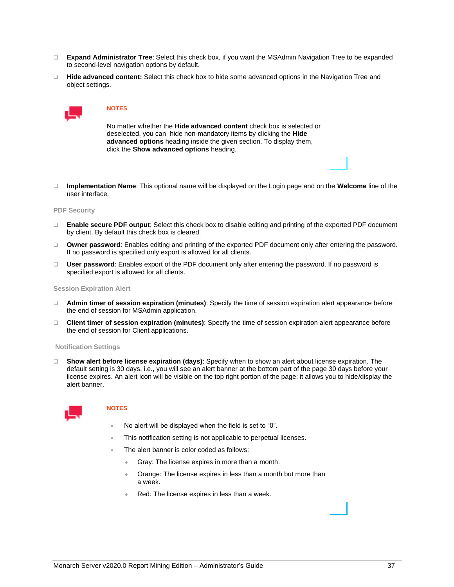- ❑ **Expand Administrator Tree**: Select this check box, if you want the MSAdmin Navigation Tree to be expanded to second-level navigation options by default.
- ❑ **Hide advanced content:** Select this check box to hide some advanced options in the Navigation Tree and object settings.



No matter whether the **Hide advanced content** check box is selected or deselected, you can hide non-mandatory items by clicking the **Hide advanced options** heading inside the given section. To display them, click the **Show advanced options** heading.

❑ **Implementation Name**: This optional name will be displayed on the Login page and on the **Welcome** line of the user interface.

#### **PDF Security**

- ❑ **Enable secure PDF output**: Select this check box to disable editing and printing of the exported PDF document by client. By default this check box is cleared.
- ❑ **Owner password**: Enables editing and printing of the exported PDF document only after entering the password. If no password is specified only export is allowed for all clients.
- ❑ **User password**: Enables export of the PDF document only after entering the password. If no password is specified export is allowed for all clients.

#### **Session Expiration Alert**

- ❑ **Admin timer of session expiration (minutes)**: Specify the time of session expiration alert appearance before the end of session for MSAdmin application.
- ❑ **Client timer of session expiration (minutes)**: Specify the time of session expiration alert appearance before the end of session for Client applications.

#### <span id="page-40-0"></span>**Notification Settings**

❑ **Show alert before license expiration (days)**: Specify when to show an alert about license expiration. The default setting is 30 days, i.e., you will see an alert banner at the bottom part of the page 30 days before your license expires. An alert icon will be visible on the top right portion of the page; it allows you to hide/display the alert banner.



#### **NOTES**

- No alert will be displayed when the field is set to "0".
- This notification setting is not applicable to perpetual licenses.
- The alert banner is color coded as follows:
	- Gray: The license expires in more than a month.
	- **Orange: The license expires in less than a month but more than** a week.
	- Red: The license expires in less than a week.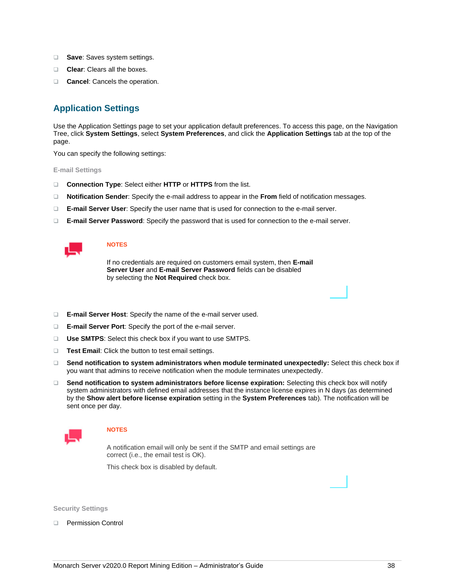- ❑ **Save**: Saves system settings.
- ❑ **Clear**: Clears all the boxes.
- <span id="page-41-0"></span>❑ **Cancel**: Cancels the operation.

# **Application Settings**

Use the Application Settings page to set your application default preferences. To access this page, on the Navigation Tree, click **System Settings**, select **System Preferences**, and click the **Application Settings** tab at the top of the page.

You can specify the following settings:

**E-mail Settings**

- ❑ **Connection Type**: Select either **HTTP** or **HTTPS** from the list.
- ❑ **Notification Sender**: Specify the e-mail address to appear in the **From** field of notification messages.
- ❑ **E-mail Server User**: Specify the user name that is used for connection to the e-mail server.
- ❑ **E-mail Server Password**: Specify the password that is used for connection to the e-mail server.



#### **NOTES**

If no credentials are required on customers email system, then **E-mail Server User** and **E-mail Server Password** fields can be disabled by selecting the **Not Required** check box.

- ❑ **E-mail Server Host**: Specify the name of the e-mail server used.
- ❑ **E-mail Server Port**: Specify the port of the e-mail server.
- ❑ **Use SMTPS**: Select this check box if you want to use SMTPS.
- ❑ **Test Email**: Click the button to test email settings.
- ❑ **Send notification to system administrators when module terminated unexpectedly:** Select this check box if you want that admins to receive notification when the module terminates unexpectedly.
- ❑ **Send notification to system administrators before license expiration:** Selecting this check box will notify system administrators with defined email addresses that the instance license expires in N days (as determined by the **Show alert before license expiration** setting in the **System Preferences** tab). The notification will be sent once per day.



#### **NOTES**

A notification email will only be sent if the SMTP and email settings are correct (i.e., the email test is OK).

This check box is disabled by default.

**Security Settings**

❑ Permission Control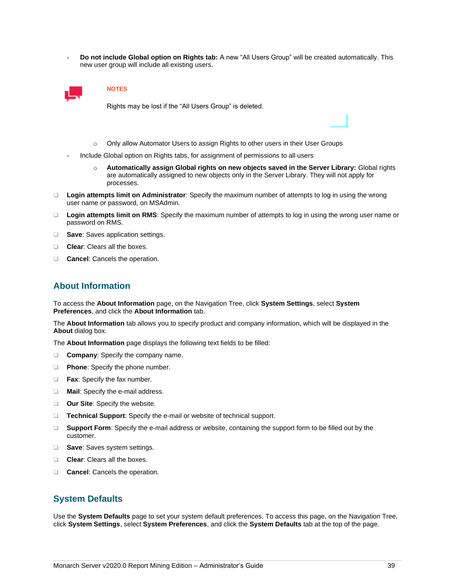• **Do not include Global option on Rights tab:** A new "All Users Group" will be created automatically. This new user group will include all existing users.



#### **NOTES**

Rights may be lost if the "All Users Group" is deleted.

- o Only allow Automator Users to assign Rights to other users in their User Groups
- Include Global option on Rights tabs, for assignment of permissions to all users
	- o **Automatically assign Global rights on new objects saved in the Server Library:** Global rights are automatically assigned to new objects only in the Server Library. They will not apply for processes.
- ❑ **Login attempts limit on Administrator**: Specify the maximum number of attempts to log in using the wrong user name or password, on MSAdmin.
- ❑ **Login attempts limit on RMS**: Specify the maximum number of attempts to log in using the wrong user name or password on RMS.
- ❑ **Save**: Saves application settings.
- ❑ **Clear**: Clears all the boxes.
- <span id="page-42-0"></span>❑ **Cancel**: Cancels the operation.

# **About Information**

To access the **About Information** page, on the Navigation Tree, click **System Settings**, select **System Preferences**, and click the **About Information** tab.

The **About Information** tab allows you to specify product and company information, which will be displayed in the **About** dialog box.

The **About Information** page displays the following text fields to be filled:

- ❑ **Company**: Specify the company name.
- ❑ **Phone**: Specify the phone number.
- ❑ **Fax**: Specify the fax number.
- ❑ **Mail**: Specify the e-mail address.
- ❑ **Our Site**: Specify the website.
- ❑ **Technical Support**: Specify the e-mail or website of technical support.
- ❑ **Support Form**: Specify the e-mail address or website, containing the support form to be filled out by the customer.
- ❑ **Save**: Saves system settings.
- ❑ **Clear**: Clears all the boxes.
- <span id="page-42-1"></span>❑ **Cancel**: Cancels the operation.

### **System Defaults**

Use the **System Defaults** page to set your system default preferences. To access this page, on the Navigation Tree, click **System Settings**, select **System Preferences**, and click the **System Defaults** tab at the top of the page.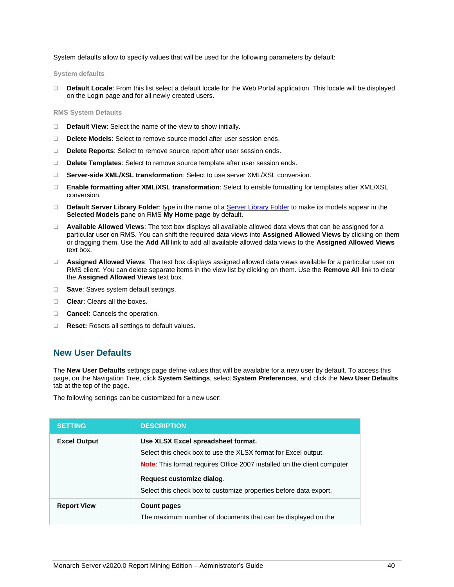System defaults allow to specify values that will be used for the following parameters by default:

**System defaults**

❑ **Default Locale**: From this list select a default locale for the Web Portal application. This locale will be displayed on the Login page and for all newly created users.

**RMS System Defaults**

- ❑ **Default View**: Select the name of the view to show initially.
- ❑ **Delete Models**: Select to remove source model after user session ends.
- ❑ **Delete Reports**: Select to remove source report after user session ends.
- ❑ **Delete Templates**: Select to remove source template after user session ends.
- ❑ **Server-side XML/XSL transformation**: Select to use server XML/XSL conversion.
- ❑ **Enable formatting after XML/XSL transformation**: Select to enable formatting for templates after XML/XSL conversion.
- ❑ **Default Server Library Folder**: type in the name of [a Server Library Folder](#page-17-3) to make its models appear in the **Selected Models** pane on RMS **My Home page** by default.
- ❑ **Available Allowed Views**: The text box displays all available allowed data views that can be assigned for a particular user on RMS. You can shift the required data views into **Assigned Allowed Views** by clicking on them or dragging them. Use the **Add All** link to add all available allowed data views to the **Assigned Allowed Views** text box.
- ❑ **Assigned Allowed Views**: The text box displays assigned allowed data views available for a particular user on RMS client. You can delete separate items in the view list by clicking on them. Use the **Remove All** link to clear the **Assigned Allowed Views** text box.
- ❑ **Save**: Saves system default settings.
- ❑ **Clear**: Clears all the boxes.
- ❑ **Cancel**: Cancels the operation.
- <span id="page-43-0"></span>❑ **Reset:** Resets all settings to default values.

### **New User Defaults**

The **New User Defaults** settings page define values that will be available for a new user by default. To access this page, on the Navigation Tree, click **System Settings**, select **System Preferences**, and click the **New User Defaults** tab at the top of the page.

The following settings can be customized for a new user:

| <b>SETTING</b>      | <b>DESCRIPTION</b>                                                                                                                                                                                                                                                                       |
|---------------------|------------------------------------------------------------------------------------------------------------------------------------------------------------------------------------------------------------------------------------------------------------------------------------------|
| <b>Excel Output</b> | Use XLSX Excel spreadsheet format.<br>Select this check box to use the XLSX format for Excel output.<br><b>Note:</b> This format requires Office 2007 installed on the client computer<br>Request customize dialog.<br>Select this check box to customize properties before data export. |
| <b>Report View</b>  | <b>Count pages</b><br>The maximum number of documents that can be displayed on the                                                                                                                                                                                                       |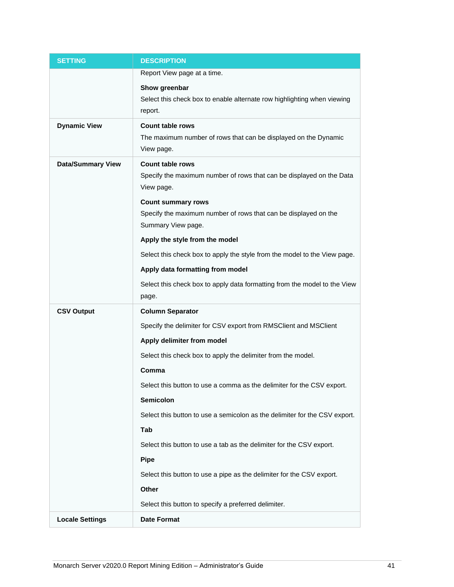| <b>SETTING</b>           | <b>DESCRIPTION</b>                                                                         |
|--------------------------|--------------------------------------------------------------------------------------------|
|                          | Report View page at a time.                                                                |
|                          | Show greenbar                                                                              |
|                          | Select this check box to enable alternate row highlighting when viewing                    |
|                          | report.                                                                                    |
| <b>Dynamic View</b>      | <b>Count table rows</b><br>The maximum number of rows that can be displayed on the Dynamic |
|                          | View page.                                                                                 |
| <b>Data/Summary View</b> | <b>Count table rows</b>                                                                    |
|                          | Specify the maximum number of rows that can be displayed on the Data<br>View page.         |
|                          | <b>Count summary rows</b>                                                                  |
|                          | Specify the maximum number of rows that can be displayed on the<br>Summary View page.      |
|                          | Apply the style from the model                                                             |
|                          | Select this check box to apply the style from the model to the View page.                  |
|                          | Apply data formatting from model                                                           |
|                          | Select this check box to apply data formatting from the model to the View<br>page.         |
| <b>CSV Output</b>        | <b>Column Separator</b>                                                                    |
|                          | Specify the delimiter for CSV export from RMSClient and MSClient                           |
|                          | Apply delimiter from model                                                                 |
|                          | Select this check box to apply the delimiter from the model.                               |
|                          | Comma                                                                                      |
|                          | Select this button to use a comma as the delimiter for the CSV export.                     |
|                          |                                                                                            |
|                          | Semicolon                                                                                  |
|                          | Select this button to use a semicolon as the delimiter for the CSV export.                 |
|                          | Tab                                                                                        |
|                          | Select this button to use a tab as the delimiter for the CSV export.                       |
|                          | <b>Pipe</b>                                                                                |
|                          | Select this button to use a pipe as the delimiter for the CSV export.                      |
|                          | Other                                                                                      |
|                          | Select this button to specify a preferred delimiter.                                       |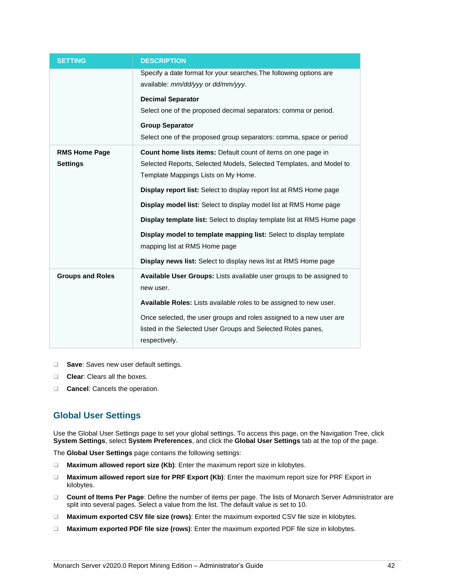| <b>SETTING</b>          | <b>DESCRIPTION</b>                                                         |
|-------------------------|----------------------------------------------------------------------------|
|                         | Specify a date format for your searches. The following options are         |
|                         | available: mm/dd/yyy or dd/mm/yyy.                                         |
|                         | <b>Decimal Separator</b>                                                   |
|                         | Select one of the proposed decimal separators: comma or period.            |
|                         | <b>Group Separator</b>                                                     |
|                         | Select one of the proposed group separators: comma, space or period        |
| <b>RMS Home Page</b>    | Count home lists items: Default count of items on one page in              |
| <b>Settings</b>         | Selected Reports, Selected Models, Selected Templates, and Model to        |
|                         | Template Mappings Lists on My Home.                                        |
|                         | <b>Display report list:</b> Select to display report list at RMS Home page |
|                         | Display model list: Select to display model list at RMS Home page          |
|                         | Display template list: Select to display template list at RMS Home page    |
|                         | Display model to template mapping list: Select to display template         |
|                         | mapping list at RMS Home page                                              |
|                         | Display news list: Select to display news list at RMS Home page            |
| <b>Groups and Roles</b> | Available User Groups: Lists available user groups to be assigned to       |
|                         | new user.                                                                  |
|                         | Available Roles: Lists available roles to be assigned to new user.         |
|                         | Once selected, the user groups and roles assigned to a new user are        |
|                         | listed in the Selected User Groups and Selected Roles panes,               |
|                         | respectively.                                                              |

- <span id="page-45-1"></span>❑ **Save**: Saves new user default settings.
- ❑ **Clear**: Clears all the boxes.
- <span id="page-45-0"></span>❑ **Cancel**: Cancels the operation.

# **Global User Settings**

Use the Global User Settings page to set your global settings. To access this page, on the Navigation Tree, click **System Settings**, select **System Preferences**, and click the **Global User Settings** tab at the top of the page.

The **Global User Settings** page contains the following settings:

- ❑ **Maximum allowed report size (Kb)**: Enter the maximum report size in kilobytes.
- ❑ **Maximum allowed report size for PRF Export (Kb)**: Enter the maximum report size for PRF Export in kilobytes.
- ❑ **Count of Items Per Page**: Define the number of items per page. The lists of Monarch Server Administrator are split into several pages. Select a value from the list. The default value is set to 10.
- ❑ **Maximum exported CSV file size (rows)**: Enter the maximum exported CSV file size in kilobytes.
- ❑ **Maximum exported PDF file size (rows)**: Enter the maximum exported PDF file size in kilobytes.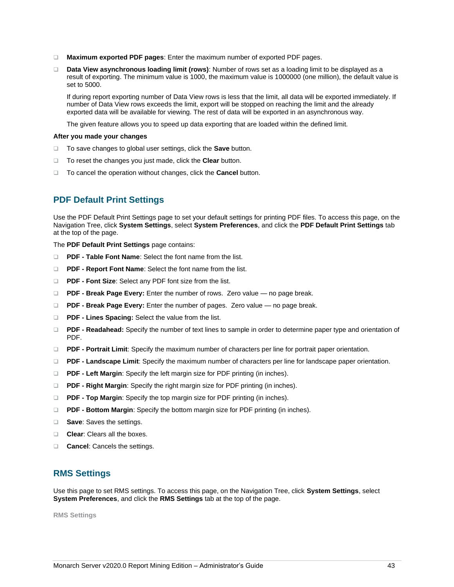- ❑ **Maximum exported PDF pages**: Enter the maximum number of exported PDF pages.
- ❑ **Data View asynchronous loading limit (rows)**: Number of rows set as a loading limit to be displayed as a result of exporting. The minimum value is 1000, the maximum value is 1000000 (one million), the default value is set to 5000.

If during report exporting number of Data View rows is less that the limit, all data will be exported immediately. If number of Data View rows exceeds the limit, export will be stopped on reaching the limit and the already exported data will be available for viewing. The rest of data will be exported in an asynchronous way.

The given feature allows you to speed up data exporting that are loaded within the defined limit.

#### **After you made your changes**

- ❑ To save changes to global user settings, click the **Save** button.
- ❑ To reset the changes you just made, click the **Clear** button.
- <span id="page-46-0"></span>❑ To cancel the operation without changes, click the **Cancel** button.

# **PDF Default Print Settings**

Use the PDF Default Print Settings page to set your default settings for printing PDF files. To access this page, on the Navigation Tree, click **System Settings**, select **System Preferences**, and click the **PDF Default Print Settings** tab at the top of the page.

The **PDF Default Print Settings** page contains:

- ❑ **PDF - Table Font Name**: Select the font name from the list.
- ❑ **PDF - Report Font Name**: Select the font name from the list.
- ❑ **PDF - Font Size**: Select any PDF font size from the list.
- ❑ **PDF - Break Page Every:** Enter the number of rows. Zero value no page break.
- ❑ **PDF - Break Page Every:** Enter the number of pages. Zero value no page break.
- ❑ **PDF - Lines Spacing:** Select the value from the list.
- ❑ **PDF - Readahead:** Specify the number of text lines to sample in order to determine paper type and orientation of PDF.
- ❑ **PDF - Portrait Limit**: Specify the maximum number of characters per line for portrait paper orientation.
- ❑ **PDF - Landscape Limit**: Specify the maximum number of characters per line for landscape paper orientation.
- ❑ **PDF - Left Margin**: Specify the left margin size for PDF printing (in inches).
- ❑ **PDF - Right Margin**: Specify the right margin size for PDF printing (in inches).
- ❑ **PDF - Top Margin**: Specify the top margin size for PDF printing (in inches).
- ❑ **PDF - Bottom Margin**: Specify the bottom margin size for PDF printing (in inches).
- ❑ **Save**: Saves the settings.
- ❑ **Clear**: Clears all the boxes.
- <span id="page-46-1"></span>❑ **Cancel**: Cancels the settings.

## **RMS Settings**

Use this page to set RMS settings. To access this page, on the Navigation Tree, click **System Settings**, select **System Preferences**, and click the **RMS Settings** tab at the top of the page.

**RMS Settings**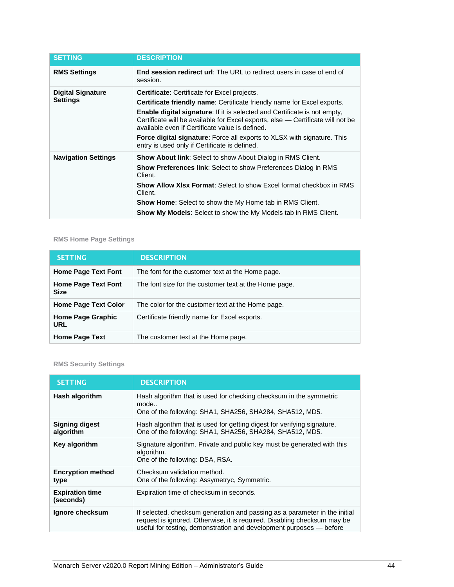| <b>SETTING</b>                              | <b>DESCRIPTION</b>                                                                                                                                                                                                                                                                                                                                                                                                                                |
|---------------------------------------------|---------------------------------------------------------------------------------------------------------------------------------------------------------------------------------------------------------------------------------------------------------------------------------------------------------------------------------------------------------------------------------------------------------------------------------------------------|
| <b>RMS Settings</b>                         | <b>End session redirect url:</b> The URL to redirect users in case of end of<br>session.                                                                                                                                                                                                                                                                                                                                                          |
| <b>Digital Signature</b><br><b>Settings</b> | <b>Certificate:</b> Certificate for Excel projects.<br><b>Certificate friendly name:</b> Certificate friendly name for Excel exports.<br><b>Enable digital signature:</b> If it is selected and Certificate is not empty,<br>Certificate will be available for Excel exports, else — Certificate will not be<br>available even if Certificate value is defined.<br><b>Force digital signature:</b> Force all exports to XLSX with signature. This |
| <b>Navigation Settings</b>                  | entry is used only if Certificate is defined.<br><b>Show About link:</b> Select to show About Dialog in RMS Client.                                                                                                                                                                                                                                                                                                                               |
|                                             | <b>Show Preferences link:</b> Select to show Preferences Dialog in RMS<br>Client.<br><b>Show Allow XIsx Format:</b> Select to show Excel format checkbox in RMS                                                                                                                                                                                                                                                                                   |
|                                             | Client.                                                                                                                                                                                                                                                                                                                                                                                                                                           |
|                                             | <b>Show Home:</b> Select to show the My Home tab in RMS Client.                                                                                                                                                                                                                                                                                                                                                                                   |
|                                             | <b>Show My Models:</b> Select to show the My Models tab in RMS Client.                                                                                                                                                                                                                                                                                                                                                                            |

# **RMS Home Page Settings**

| <b>SETTING</b>                            | <b>DESCRIPTION</b>                                    |  |  |  |
|-------------------------------------------|-------------------------------------------------------|--|--|--|
| <b>Home Page Text Font</b>                | The font for the customer text at the Home page.      |  |  |  |
| <b>Home Page Text Font</b><br><b>Size</b> | The font size for the customer text at the Home page. |  |  |  |
| <b>Home Page Text Color</b>               | The color for the customer text at the Home page.     |  |  |  |
| <b>Home Page Graphic</b><br><b>URL</b>    | Certificate friendly name for Excel exports.          |  |  |  |
| <b>Home Page Text</b>                     | The customer text at the Home page.                   |  |  |  |

# **RMS Security Settings**

| <b>SETTING</b>                      | <b>DESCRIPTION</b>                                                                                                                                                                                                            |  |  |  |
|-------------------------------------|-------------------------------------------------------------------------------------------------------------------------------------------------------------------------------------------------------------------------------|--|--|--|
| Hash algorithm                      | Hash algorithm that is used for checking checksum in the symmetric<br>mode<br>One of the following: SHA1, SHA256, SHA284, SHA512, MD5.                                                                                        |  |  |  |
| <b>Signing digest</b><br>algorithm  | Hash algorithm that is used for getting digest for verifying signature.<br>One of the following: SHA1, SHA256, SHA284, SHA512, MD5.                                                                                           |  |  |  |
| Key algorithm                       | Signature algorithm. Private and public key must be generated with this<br>algorithm.<br>One of the following: DSA, RSA.                                                                                                      |  |  |  |
| <b>Encryption method</b><br>type    | Checksum validation method.<br>One of the following: Assymetryc, Symmetric.                                                                                                                                                   |  |  |  |
| <b>Expiration time</b><br>(seconds) | Expiration time of checksum in seconds.                                                                                                                                                                                       |  |  |  |
| Ignore checksum                     | If selected, checksum generation and passing as a parameter in the initial<br>request is ignored. Otherwise, it is required. Disabling checksum may be<br>useful for testing, demonstration and development purposes - before |  |  |  |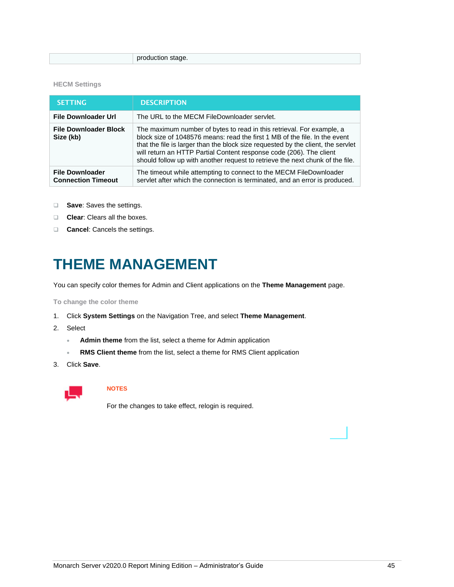production stage.

#### **HECM Settings**

| <b>SETTING</b>                                      | <b>DESCRIPTION</b>                                                                                                                                                                                                                                                                                                                                                                              |
|-----------------------------------------------------|-------------------------------------------------------------------------------------------------------------------------------------------------------------------------------------------------------------------------------------------------------------------------------------------------------------------------------------------------------------------------------------------------|
| <b>File Downloader Url</b>                          | The URL to the MECM FileDownloader servlet.                                                                                                                                                                                                                                                                                                                                                     |
| <b>File Downloader Block</b><br>Size (kb)           | The maximum number of bytes to read in this retrieval. For example, a<br>block size of 1048576 means: read the first 1 MB of the file. In the event<br>that the file is larger than the block size requested by the client, the servlet<br>will return an HTTP Partial Content response code (206). The client<br>should follow up with another request to retrieve the next chunk of the file. |
| <b>File Downloader</b><br><b>Connection Timeout</b> | The timeout while attempting to connect to the MECM FileDownloader<br>servlet after which the connection is terminated, and an error is produced.                                                                                                                                                                                                                                               |

- ❑ **Save**: Saves the settings.
- ❑ **Clear**: Clears all the boxes.
- <span id="page-48-0"></span>❑ **Cancel**: Cancels the settings.

# **THEME MANAGEMENT**

You can specify color themes for Admin and Client applications on the **Theme Management** page.

**To change the color theme**

- 1. Click **System Settings** on the Navigation Tree, and select **Theme Management**.
- 2. Select
	- **Admin theme** from the list, select a theme for Admin application
	- **RMS Client theme** from the list, select a theme for RMS Client application
- 3. Click **Save**.



# **NOTES**

For the changes to take effect, relogin is required.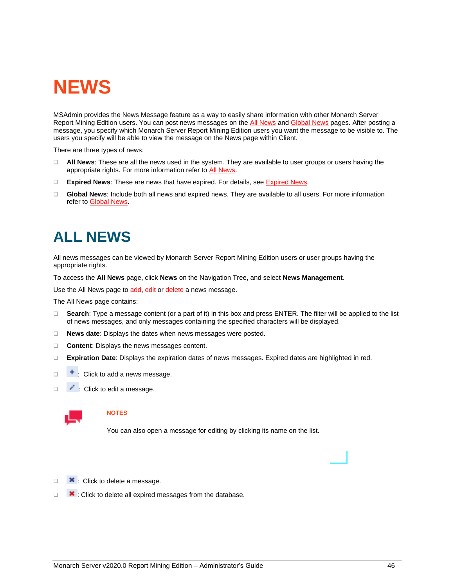# <span id="page-49-0"></span>**NEWS**

<span id="page-49-2"></span>MSAdmin provides the News Message feature as a way to easily share information with other Monarch Server Report Mining Edition users. You can post news messages on the [All News](#page-49-1) and [Global News](#page-50-1) pages. After posting a message, you specify which Monarch Server Report Mining Edition users you want the message to be visible to. The users you specify will be able to view the message on the News page within Client.

There are three types of news:

- ❑ **All News**: These are all the news used in the system. They are available to user groups or users having the appropriate rights. For more information refer to [All News.](#page-49-1)
- ❑ **Expired News**: These are news that have expired. For details, se[e Expired News.](#page-50-0)
- ❑ **Global News**: Include both all news and expired news. They are available to all users. For more information refer to [Global News.](#page-50-1)

# <span id="page-49-1"></span>**ALL NEWS**

All news messages can be viewed by Monarch Server Report Mining Edition users or user groups having the appropriate rights.

To access the **All News** page, click **News** on the Navigation Tree, and select **News Management**.

Use the All News page t[o add,](#page-51-0) [edit](#page-51-1) or [delete](#page-52-0) a news message.

The All News page contains:

- ❑ **Search**: Type a message content (or a part of it) in this box and press ENTER. The filter will be applied to the list of news messages, and only messages containing the specified characters will be displayed.
- ❑ **News date**: Displays the dates when news messages were posted.
- ❑ **Content**: Displays the news messages content.
- ❑ **Expiration Date**: Displays the expiration dates of news messages. Expired dates are highlighted in red.
- $\Box$   $\Box$  : Click to add a news message.
- □ **/** : Click to edit a message.



### **NOTES**

You can also open a message for editing by clicking its name on the list.

- □ **\*** : Click to delete a message.
- □ **\*** : Click to delete all expired messages from the database.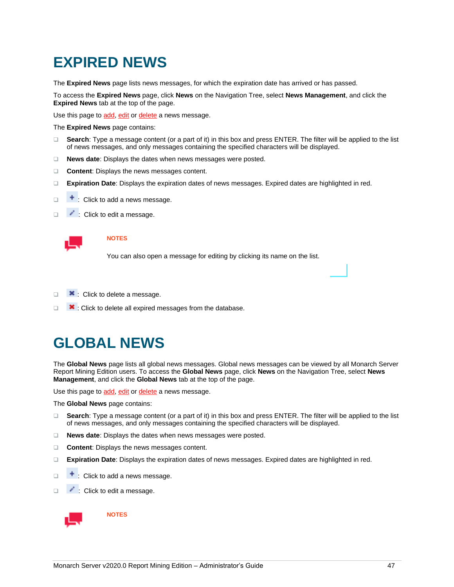# <span id="page-50-0"></span>**EXPIRED NEWS**

The **Expired News** page lists news messages, for which the expiration date has arrived or has passed.

To access the **Expired News** page, click **News** on the Navigation Tree, select **News Management**, and click the **Expired News** tab at the top of the page.

Use this page t[o add,](#page-51-0) [edit](#page-51-1) or [delete](#page-52-0) a news message.

The **Expired News** page contains:

- ❑ **Search**: Type a message content (or a part of it) in this box and press ENTER. The filter will be applied to the list of news messages, and only messages containing the specified characters will be displayed.
- ❑ **News date**: Displays the dates when news messages were posted.
- ❑ **Content**: Displays the news messages content.
- ❑ **Expiration Date**: Displays the expiration dates of news messages. Expired dates are highlighted in red.
- $\Box$   $\Box$  : Click to add a news message.
- □ **:** Click to edit a message.



#### **NOTES**

You can also open a message for editing by clicking its name on the list.

- □ <u>×</u>: Click to delete a message.
- <span id="page-50-1"></span>□ **\*** : Click to delete all expired messages from the database.

# **GLOBAL NEWS**

The **Global News** page lists all global news messages. Global news messages can be viewed by all Monarch Server Report Mining Edition users. To access the **Global News** page, click **News** on the Navigation Tree, select **News Management**, and click the **Global News** tab at the top of the page.

Use this page t[o add,](#page-51-0) [edit](#page-51-1) or [delete](#page-52-0) a news message.

The **Global News** page contains:

- ❑ **Search**: Type a message content (or a part of it) in this box and press ENTER. The filter will be applied to the list of news messages, and only messages containing the specified characters will be displayed.
- ❑ **News date**: Displays the dates when news messages were posted.
- ❑ **Content**: Displays the news messages content.
- ❑ **Expiration Date**: Displays the expiration dates of news messages. Expired dates are highlighted in red.
- $\Box$   $\Box$  : Click to add a news message.
- □ **:** Click to edit a message.



**NOTES**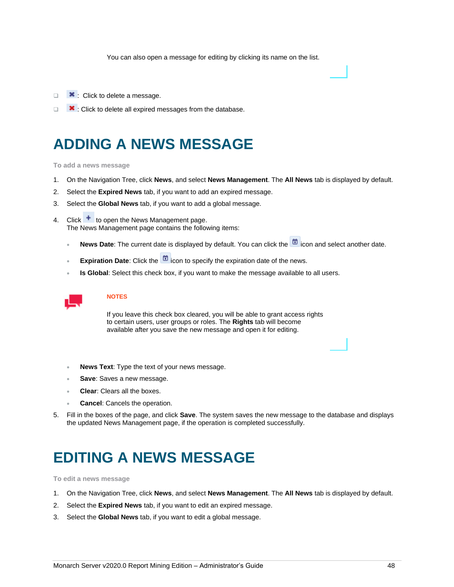You can also open a message for editing by clicking its name on the list.

- □ **×**: Click to delete a message.
- <span id="page-51-0"></span>❑ : Click to delete all expired messages from the database.

# **ADDING A NEWS MESSAGE**

**To add a news message**

- 1. On the Navigation Tree, click **News**, and select **News Management**. The **All News** tab is displayed by default.
- 2. Select the **Expired News** tab, if you want to add an expired message.
- 3. Select the **Global News** tab, if you want to add a global message.
- 4. Click  $\pm$  to open the News Management page. The News Management page contains the following items:
	- **News Date**: The current date is displayed by default. You can click the **in** icon and select another date.
	- **Expiration Date**: Click the **interpr**icon to specify the expiration date of the news.
	- **Is Global**: Select this check box, if you want to make the message available to all users.



#### **NOTES**

If you leave this check box cleared, you will be able to grant access rights to certain users, user groups or roles. The **Rights** tab will become available after you save the new message and open it for editing.

- **News Text**: Type the text of your news message.
- **Save:** Saves a new message.
- **Clear**: Clears all the boxes.
- **Cancel**: Cancels the operation.
- <span id="page-51-1"></span>5. Fill in the boxes of the page, and click **Save**. The system saves the new message to the database and displays the updated News Management page, if the operation is completed successfully.

# **EDITING A NEWS MESSAGE**

**To edit a news message**

- 1. On the Navigation Tree, click **News**, and select **News Management**. The **All News** tab is displayed by default.
- 2. Select the **Expired News** tab, if you want to edit an expired message.
- 3. Select the **Global News** tab, if you want to edit a global message.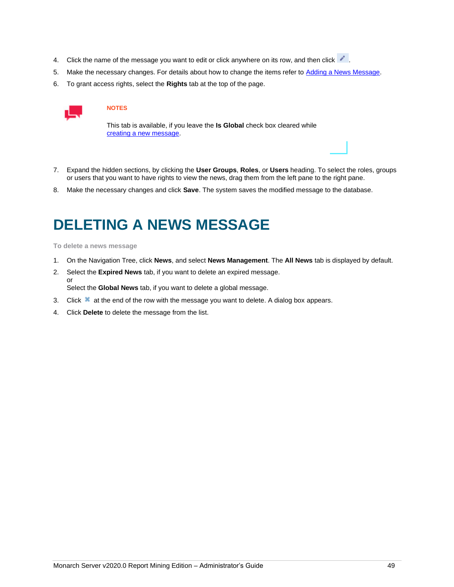- 4. Click the name of the message you want to edit or click anywhere on its row, and then click .
- 5. Make the necessary changes. For details about how to change the items refer to [Adding a News Message.](#page-51-0)
- 6. To grant access rights, select the **Rights** tab at the top of the page.



This tab is available, if you leave the **Is Global** check box cleared while [creating a new message.](#page-51-0)

- 7. Expand the hidden sections, by clicking the **User Groups**, **Roles**, or **Users** heading. To select the roles, groups or users that you want to have rights to view the news, drag them from the left pane to the right pane.
- <span id="page-52-0"></span>8. Make the necessary changes and click **Save**. The system saves the modified message to the database.

# **DELETING A NEWS MESSAGE**

**To delete a news message**

- 1. On the Navigation Tree, click **News**, and select **News Management**. The **All News** tab is displayed by default.
- 2. Select the **Expired News** tab, if you want to delete an expired message. or Select the **Global News** tab, if you want to delete a global message.
- 3. Click  $\blacktriangleright$  at the end of the row with the message you want to delete. A dialog box appears.
- 4. Click **Delete** to delete the message from the list.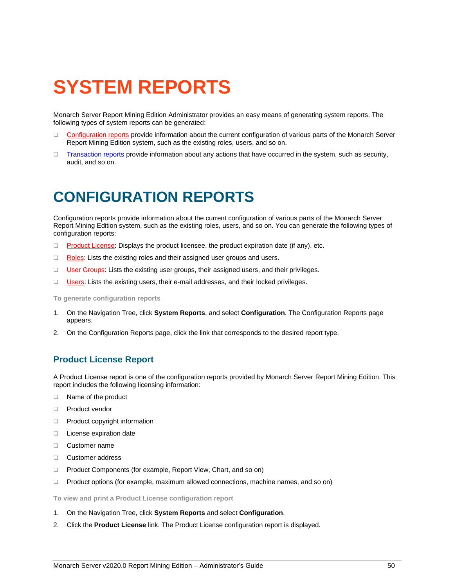# <span id="page-53-0"></span>**SYSTEM REPORTS**

Monarch Server Report Mining Edition Administrator provides an easy means of generating system reports. The following types of system reports can be generated:

- ❑ [Configuration reports](#page-53-3) provide information about the current configuration of various parts of the Monarch Server Report Mining Edition system, such as the existing roles, users, and so on.
- □ [Transaction reports](#page-55-2) provide information about any actions that have occurred in the system, such as security, audit, and so on.

# <span id="page-53-1"></span>**CONFIGURATION REPORTS**

<span id="page-53-3"></span>Configuration reports provide information about the current configuration of various parts of the Monarch Server Report Mining Edition system, such as the existing roles, users, and so on. You can generate the following types of configuration reports:

- □ [Product License:](#page-53-2) Displays the product licensee, the product expiration date (if any), etc.
- □ [Roles:](#page-54-0) Lists the existing roles and their assigned user groups and users.
- □ [User Groups:](#page-54-1) Lists the existing user groups, their assigned users, and their privileges.
- ❑ [Users:](#page-55-0) Lists the existing users, their e-mail addresses, and their locked privileges.

**To generate configuration reports**

- 1. On the Navigation Tree, click **System Reports**, and select **Configuration**. The Configuration Reports page appears.
- <span id="page-53-2"></span>2. On the Configuration Reports page, click the link that corresponds to the desired report type.

## **Product License Report**

A Product License report is one of the configuration reports provided by Monarch Server Report Mining Edition. This report includes the following licensing information:

- ❑ Name of the product
- ❑ Product vendor
- ❑ Product copyright information
- ❑ License expiration date
- ❑ Customer name
- ❑ Customer address
- ❑ Product Components (for example, Report View, Chart, and so on)
- ❑ Product options (for example, maximum allowed connections, machine names, and so on)

**To view and print a Product License configuration report**

- 1. On the Navigation Tree, click **System Reports** and select **Configuration**.
- 2. Click the **Product License** link. The Product License configuration report is displayed.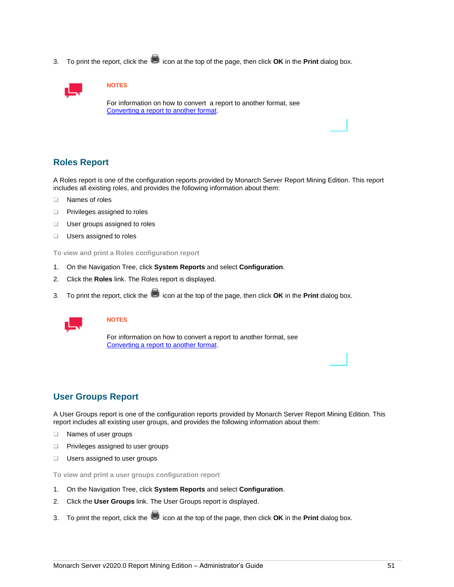3. To print the report, click the **integral into the top of the page**, then click **OK** in the **Print** dialog box.



#### **NOTES**

For information on how to convert a report to another format, see [Converting a report to another format.](#page-59-0)

## <span id="page-54-0"></span>**Roles Report**

A Roles report is one of the configuration reports provided by Monarch Server Report Mining Edition. This report includes all existing roles, and provides the following information about them:

- ❑ Names of roles
- ❑ Privileges assigned to roles
- ❑ User groups assigned to roles
- ❑ Users assigned to roles

**To view and print a Roles configuration report**

- 1. On the Navigation Tree, click **System Reports** and select **Configuration**.
- 2. Click the **Roles** link. The Roles report is displayed.
- 3. To print the report, click the  $\blacksquare$  icon at the top of the page, then click **OK** in the **Print** dialog box.



### **NOTES**

For information on how to convert a report to another format, see [Converting a report to another format.](#page-59-0)

# <span id="page-54-1"></span>**User Groups Report**

A User Groups report is one of the configuration reports provided by Monarch Server Report Mining Edition. This report includes all existing user groups, and provides the following information about them:

- ❑ Names of user groups
- ❑ Privileges assigned to user groups
- ❑ Users assigned to user groups

**To view and print a user groups configuration report**

- 1. On the Navigation Tree, click **System Reports** and select **Configuration**.
- 2. Click the **User Groups** link. The User Groups report is displayed.
- 3. To print the report, click the **int** icon at the top of the page, then click **OK** in the **Print** dialog box.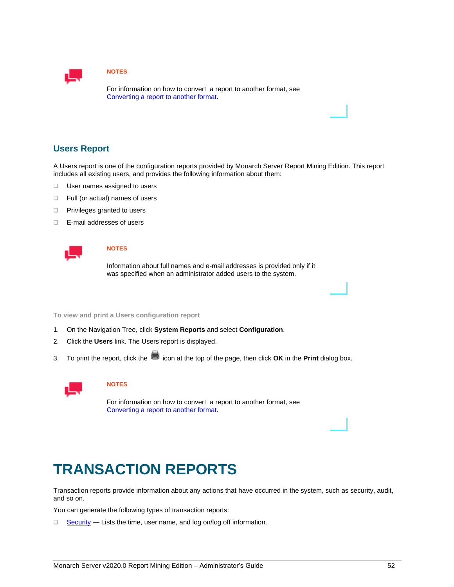

For information on how to convert a report to another format, see [Converting a report to another format.](#page-59-0)

# <span id="page-55-0"></span>**Users Report**

A Users report is one of the configuration reports provided by Monarch Server Report Mining Edition. This report includes all existing users, and provides the following information about them:

- ❑ User names assigned to users
- ❑ Full (or actual) names of users
- ❑ Privileges granted to users
- ❑ E-mail addresses of users



#### **NOTES**

Information about full names and e-mail addresses is provided only if it was specified when an administrator added users to the system.

**To view and print a Users configuration report**

- 1. On the Navigation Tree, click **System Reports** and select **Configuration**.
- 2. Click the **Users** link. The Users report is displayed.
- 3. To print the report, click the **integral into the top of the page, then click OK** in the **Print** dialog box.



#### **NOTES**

For information on how to convert a report to another format, see [Converting a report to another format.](#page-59-0)

# <span id="page-55-1"></span>**TRANSACTION REPORTS**

<span id="page-55-2"></span>Transaction reports provide information about any actions that have occurred in the system, such as security, audit, and so on.

You can generate the following types of transaction reports:

□ [Security](#page-56-0) — Lists the time, user name, and log on/log off information.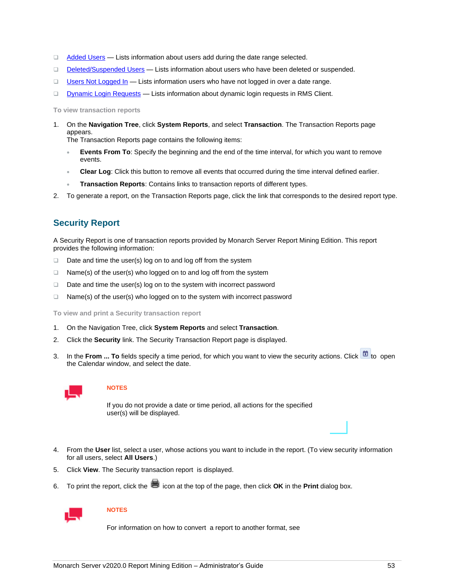- □ [Added Users](#page-57-0) Lists information about users add during the date range selected.
- □ **[Deleted/Suspended Users](#page-57-1)** Lists information about users who have been deleted or suspended.
- □ [Users Not Logged In](#page-58-0) Lists information users who have not logged in over a date range.
- ❑ [Dynamic Login Requests](#page-58-1) Lists information about dynamic login requests in RMS Client.

**To view transaction reports**

1. On the **Navigation Tree**, click **System Reports**, and select **Transaction**. The Transaction Reports page appears.

The Transaction Reports page contains the following items:

- **Events From To**: Specify the beginning and the end of the time interval, for which you want to remove events.
- **Clear Log**: Click this button to remove all events that occurred during the time interval defined earlier.
- **Transaction Reports**: Contains links to transaction reports of different types.
- <span id="page-56-0"></span>2. To generate a report, on the Transaction Reports page, click the link that corresponds to the desired report type.

### **Security Report**

A Security Report is one of transaction reports provided by Monarch Server Report Mining Edition. This report provides the following information:

- ❑ Date and time the user(s) log on to and log off from the system
- ❑ Name(s) of the user(s) who logged on to and log off from the system
- ❑ Date and time the user(s) log on to the system with incorrect password
- ❑ Name(s) of the user(s) who logged on to the system with incorrect password

**To view and print a Security transaction report**

- 1. On the Navigation Tree, click **System Reports** and select **Transaction**.
- 2. Click the **Security** link. The Security Transaction Report page is displayed.
- 3. In the **From ... To** fields specify a time period, for which you want to view the security actions. Click **the set of** to open the Calendar window, and select the date.



#### **NOTES**

If you do not provide a date or time period, all actions for the specified user(s) will be displayed.

- 4. From the **User** list, select a user, whose actions you want to include in the report. (To view security information for all users, select **All Users**.)
- 5. Click **View**. The Security transaction report is displayed.
- 6. To print the report, click the **integral into the top of the page, then click OK** in the **Print** dialog box.



### **NOTES**

For information on how to convert a report to another format, see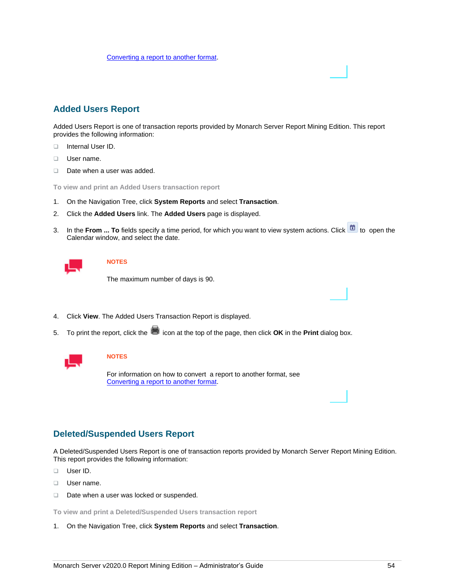[Converting a report to another format.](#page-59-0)

# <span id="page-57-0"></span>**Added Users Report**

Added Users Report is one of transaction reports provided by Monarch Server Report Mining Edition. This report provides the following information:

- ❑ Internal User ID.
- ❑ User name.
- ❑ Date when a user was added.

**To view and print an Added Users transaction report**

- 1. On the Navigation Tree, click **System Reports** and select **Transaction**.
- 2. Click the **Added Users** link. The **Added Users** page is displayed.
- 3. In the From ... To fields specify a time period, for which you want to view system actions. Click **the state of** to open the Calendar window, and select the date.

### **NOTES**

The maximum number of days is 90.

- 4. Click **View**. The Added Users Transaction Report is displayed.
- 5. To print the report, click the **integral into the top of the page, then click OK** in the **Print** dialog box.



#### **NOTES**

For information on how to convert a report to another format, see [Converting a report to another format.](#page-59-0)

## <span id="page-57-1"></span>**Deleted/Suspended Users Report**

A Deleted/Suspended Users Report is one of transaction reports provided by Monarch Server Report Mining Edition. This report provides the following information:

- ❑ User ID.
- ❑ User name.
- ❑ Date when a user was locked or suspended.

**To view and print a Deleted/Suspended Users transaction report**

1. On the Navigation Tree, click **System Reports** and select **Transaction**.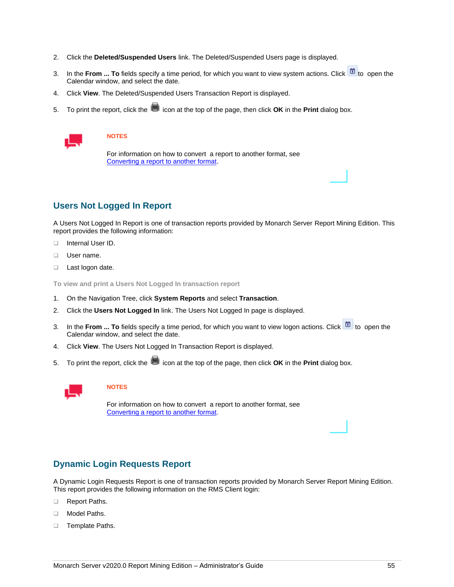- 2. Click the **Deleted/Suspended Users** link. The Deleted/Suspended Users page is displayed.
- 3. In the **From ... To** fields specify a time period, for which you want to view system actions. Click **the state** to open the Calendar window, and select the date.
- 4. Click **View**. The Deleted/Suspended Users Transaction Report is displayed.
- 5. To print the report, click the **integral into the top of the page**, then click **OK** in the **Print** dialog box.



For information on how to convert a report to another format, see [Converting a report to another format.](#page-59-0)

# <span id="page-58-0"></span>**Users Not Logged In Report**

A Users Not Logged In Report is one of transaction reports provided by Monarch Server Report Mining Edition. This report provides the following information:

- ❑ Internal User ID.
- ❑ User name.
- ❑ Last logon date.

**To view and print a Users Not Logged In transaction report**

- 1. On the Navigation Tree, click **System Reports** and select **Transaction**.
- 2. Click the **Users Not Logged In** link. The Users Not Logged In page is displayed.
- 3. In the **From ... To** fields specify a time period, for which you want to view logon actions. Click **the state of** to open the Calendar window, and select the date.
- 4. Click **View**. The Users Not Logged In Transaction Report is displayed.
- 5. To print the report, click the incon at the top of the page, then click OK in the Print dialog box.



### **NOTES**

For information on how to convert a report to another format, see [Converting a report to another format.](#page-59-0)

## <span id="page-58-1"></span>**Dynamic Login Requests Report**

A Dynamic Login Requests Report is one of transaction reports provided by Monarch Server Report Mining Edition. This report provides the following information on the RMS Client login:

- ❑ Report Paths.
- ❑ Model Paths.
- ❑ Template Paths.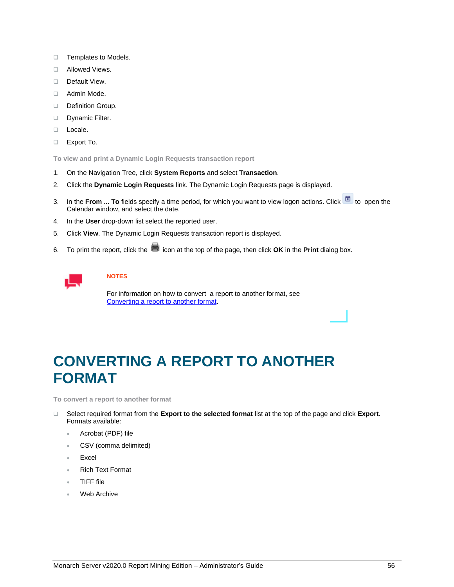- ❑ Templates to Models.
- ❑ Allowed Views.
- ❑ Default View.
- ❑ Admin Mode.
- ❑ Definition Group.
- ❑ Dynamic Filter.
- ❑ Locale.
- ❑ Export To.

**To view and print a Dynamic Login Requests transaction report**

- 1. On the Navigation Tree, click **System Reports** and select **Transaction**.
- 2. Click the **Dynamic Login Requests** link. The Dynamic Login Requests page is displayed.
- 3. In the **From ... To** fields specify a time period, for which you want to view logon actions. Click **the state** to open the Calendar window, and select the date.
- 4. In the **User** drop-down list select the reported user.
- 5. Click **View**. The Dynamic Login Requests transaction report is displayed.
- 6. To print the report, click the **int** icon at the top of the page, then click **OK** in the **Print** dialog box.



## **NOTES**

For information on how to convert a report to another format, see [Converting a report to another format.](#page-59-0)

# <span id="page-59-0"></span>**CONVERTING A REPORT TO ANOTHER FORMAT**

**To convert a report to another format**

- ❑ Select required format from the **Export to the selected format** list at the top of the page and click **Export**. Formats available:
	- Acrobat (PDF) file
	- CSV (comma delimited)
	- **Excel**
	- Rich Text Format
	- TIFF file
	- Web Archive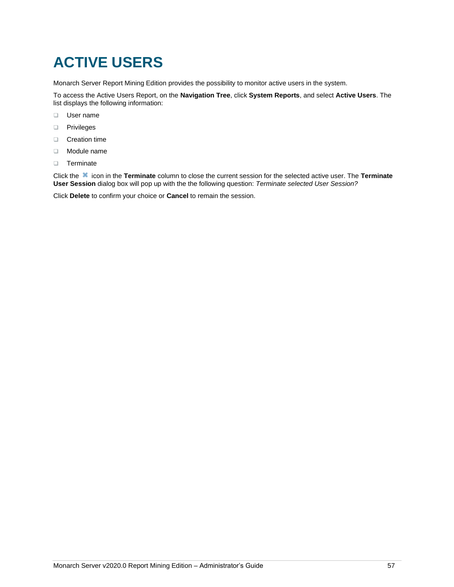# <span id="page-60-0"></span>**ACTIVE USERS**

Monarch Server Report Mining Edition provides the possibility to monitor active users in the system.

To access the Active Users Report, on the **Navigation Tree**, click **System Reports**, and select **Active Users**. The list displays the following information:

- ❑ User name
- ❑ Privileges
- ❑ Creation time
- ❑ Module name
- ❑ Terminate

Click the icon in the **Terminate** column to close the current session for the selected active user. The **Terminate User Session** dialog box will pop up with the the following question: *Terminate selected User Session?*

Click **Delete** to confirm your choice or **Cancel** to remain the session.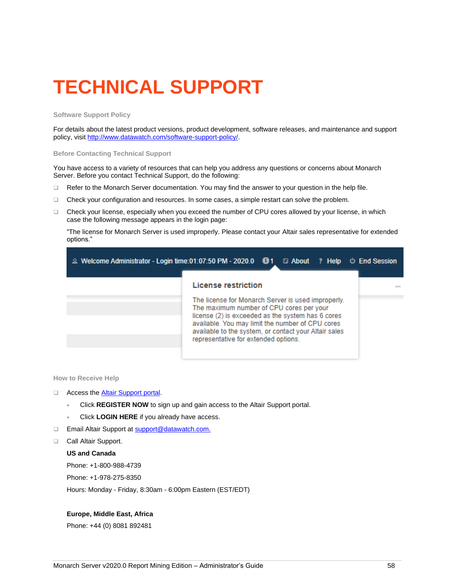# <span id="page-61-0"></span>**TECHNICAL SUPPORT**

#### **Software Support Policy**

For details about the latest product versions, product development, software releases, and maintenance and support policy, visit [http://www.datawatch.com/software-support-policy/.](http://www.datawatch.com/software-support-policy/)

#### **Before Contacting Technical Support**

You have access to a variety of resources that can help you address any questions or concerns about Monarch Server. Before you contact Technical Support, do the following:

- ❑ Refer to the Monarch Server documentation. You may find the answer to your question in the help file.
- ❑ Check your configuration and resources. In some cases, a simple restart can solve the problem.
- ❑ Check your license, especially when you exceed the number of CPU cores allowed by your license, in which case the following message appears in the login page:

"The license for Monarch Server is used improperly. Please contact your Altair sales representative for extended options."

| 2 Welcome Administrator - Login time:01:07:50 PM - 2020.0 <b>ight</b> a About ? Help $\circlearrowright$ End Session                                                                                                                                                                                     |
|----------------------------------------------------------------------------------------------------------------------------------------------------------------------------------------------------------------------------------------------------------------------------------------------------------|
| License restriction                                                                                                                                                                                                                                                                                      |
| The license for Monarch Server is used improperly.<br>The maximum number of CPU cores per your<br>license (2) is exceeded as the system has 6 cores<br>available. You may limit the number of CPU cores<br>available to the system, or contact your Altair sales<br>representative for extended options. |

**How to Receive Help**

- □ Access the **Altair Support portal**.
	- Click **REGISTER NOW** to sign up and gain access to the Altair Support portal.
	- Click **LOGIN HERE** if you already have access.
- □ Email Altair Support at [support@datawatch.com.](mailto:support@datawatch.com)
- ❑ Call Altair Support.

#### **US and Canada**

Phone: +1-800-988-4739

Phone: +1-978-275-8350

Hours: Monday - Friday, 8:30am - 6:00pm Eastern (EST/EDT)

#### **Europe, Middle East, Africa**

Phone: +44 (0) 8081 892481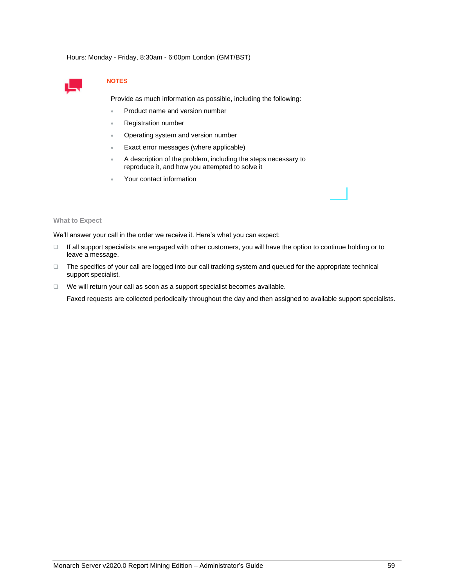Hours: Monday - Friday, 8:30am - 6:00pm London (GMT/BST)



### **NOTES**

Provide as much information as possible, including the following:

- Product name and version number
- Registration number
- Operating system and version number
- Exact error messages (where applicable)
- A description of the problem, including the steps necessary to reproduce it, and how you attempted to solve it
- Your contact information

#### **What to Expect**

We'll answer your call in the order we receive it. Here's what you can expect:

- ❑ If all support specialists are engaged with other customers, you will have the option to continue holding or to leave a message.
- ❑ The specifics of your call are logged into our call tracking system and queued for the appropriate technical support specialist.
- ❑ We will return your call as soon as a support specialist becomes available.

Faxed requests are collected periodically throughout the day and then assigned to available support specialists.